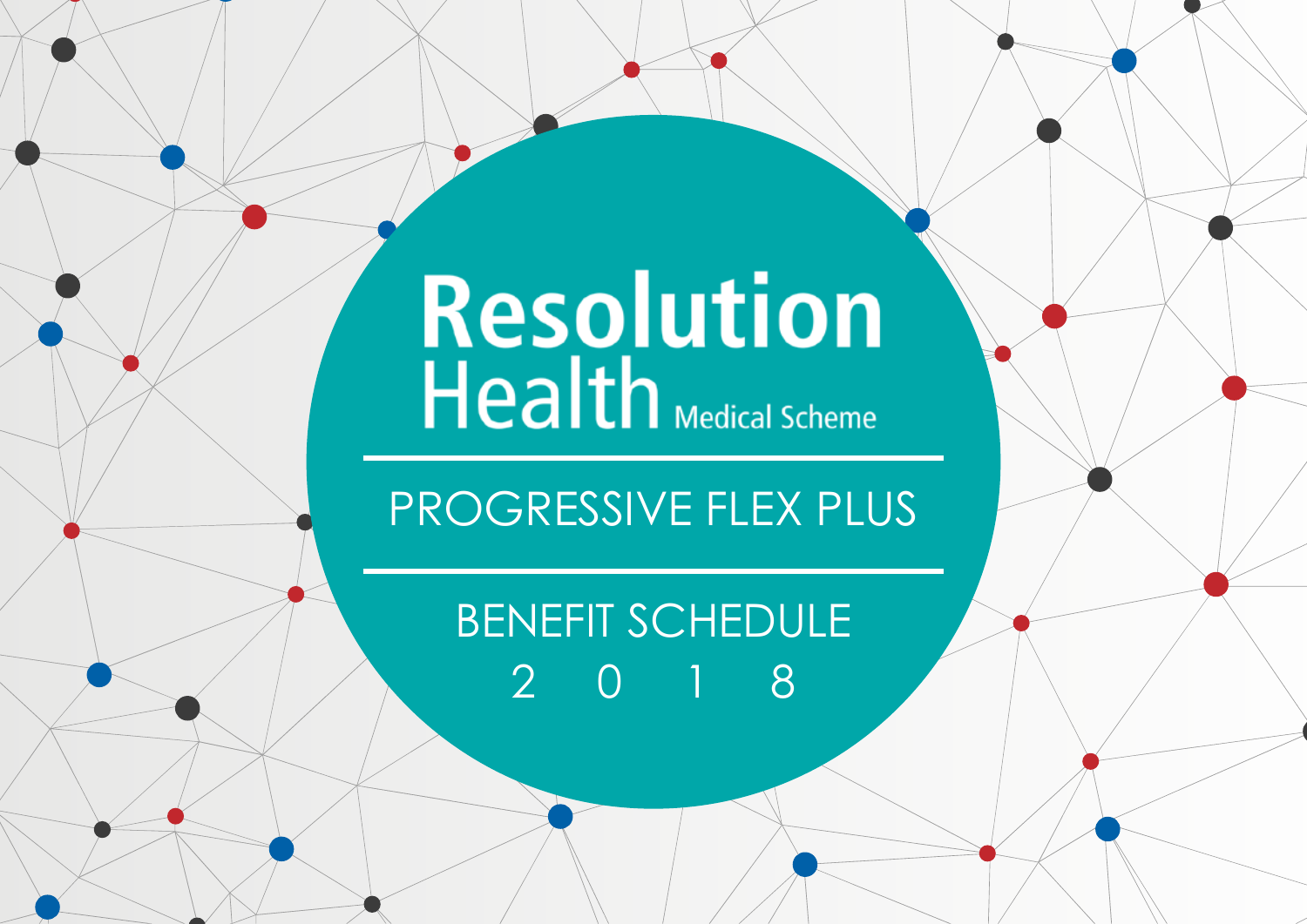# Resolution<br>Health Medical Scheme

## PROGRESSIVE FLEX PLUS

# BENEFIT SCHEDULE 2018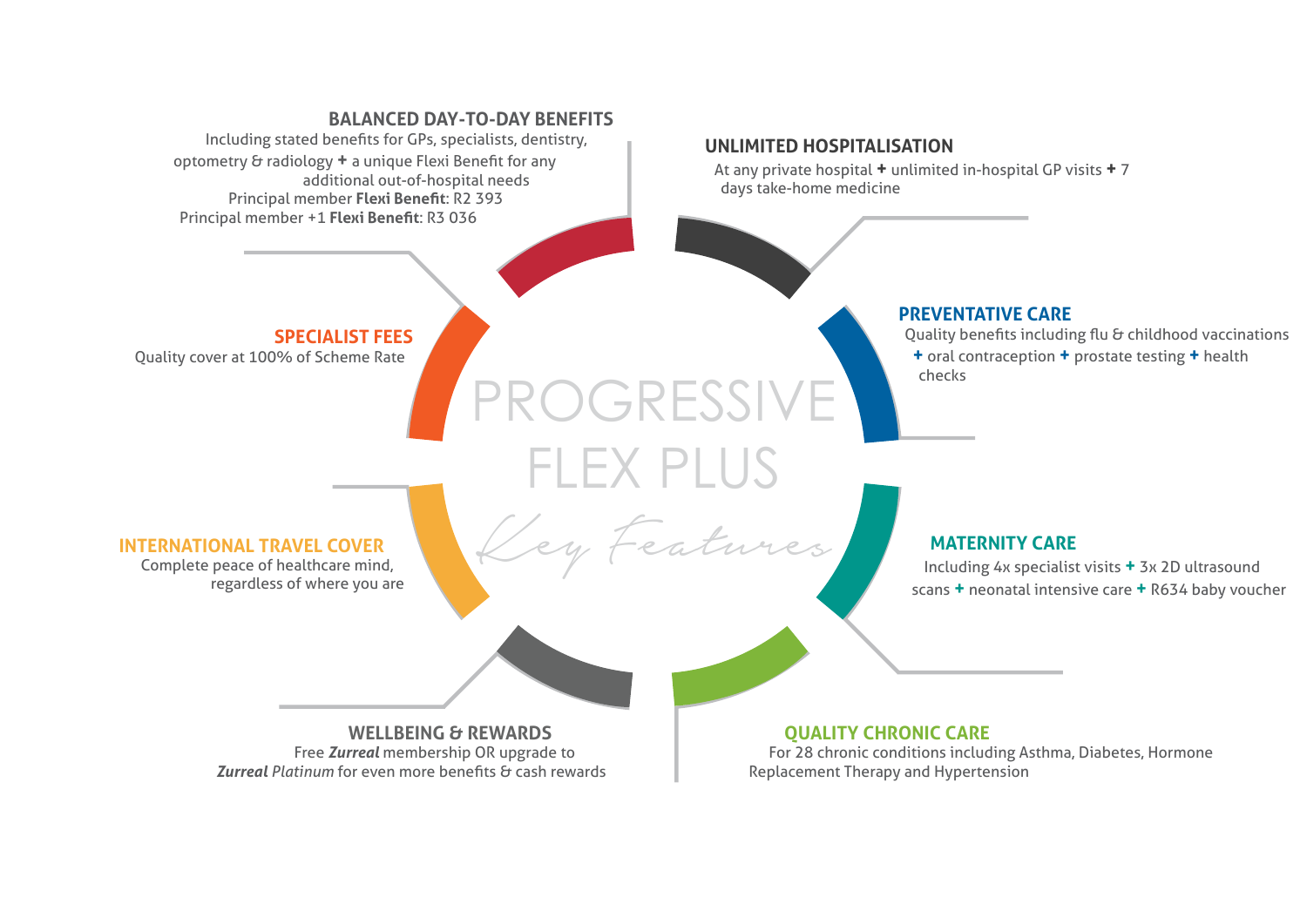#### PROGRESSIVE **BALANCED DAY-TO-DAY BENEFITS** Including stated benefits for GPs, specialists, dentistry, optometry & radiology **+** a unique Flexi Benefit for any additional out-of-hospital needs Principal member **Flexi Benefit**: R2 393 Principal member +1 **Flexi Benefit**: R3 036 **SPECIALIST FEES** Quality cover at 100% of Scheme Rate **PREVENTATIVE CARE** Quality benefits including flu & childhood vaccinations **+** oral contraception **+** prostate testing **+** health checks **UNLIMITED HOSPITALISATION** At any private hospital **+** unlimited in-hospital GP visits **+** 7 days take-home medicine

FLEX PLUS

Key Features

#### **INTERNATIONAL TRAVEL COVER**

Complete peace of healthcare mind, regardless of where you are

#### **MATERNITY CARE**

Including 4x specialist visits **+** 3x 2D ultrasound scans **+** neonatal intensive care **+** R634 baby voucher

**WELLBEING & REWARDS** Free *Zurreal* membership OR upgrade to *Zurreal Platinum* for even more benefits & cash rewards **QUALITY CHRONIC CARE**

For 28 chronic conditions including Asthma, Diabetes, Hormone Replacement Therapy and Hypertension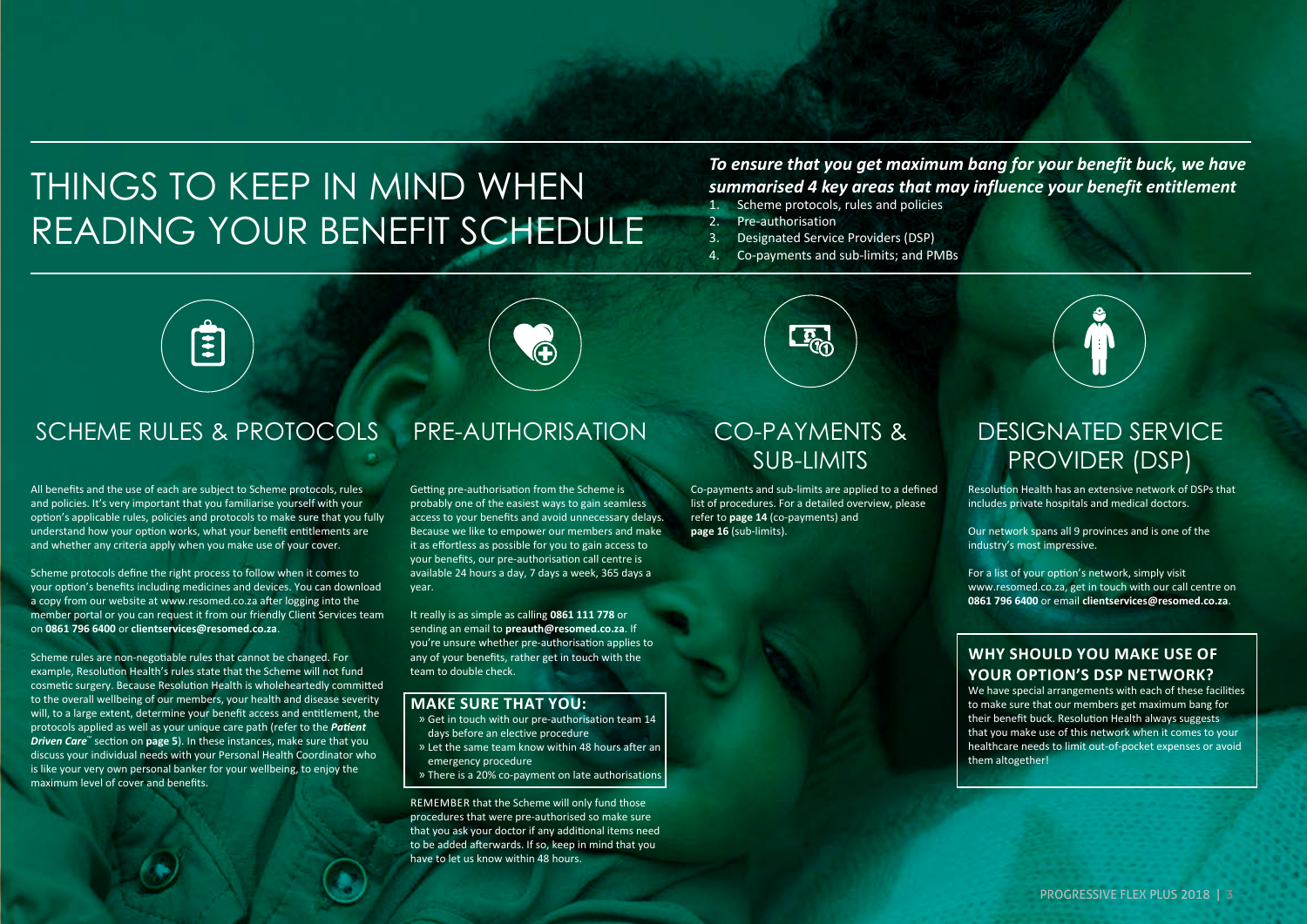## THINGS TO KEEP IN MIND WHEN READING YOUR BENEFIT SCHEDULE

#### *To ensure that you get maximum bang for your benefit buck, we have summarised 4 key areas that may influence your benefit entitlement*

- 1. Scheme protocols, rules and policies
- 2. Pre-authorisation
- 3. Designated Service Providers (DSP)
- 4. Co-payments and sub-limits; and PMBs



#### SCHEME RULES & PROTOCOLS PRE-AUTHORISATION CO-PAYMENTS &

All benefits and the use of each are subject to Scheme protocols, rules and policies. It's very important that you familiarise yourself with your option's applicable rules, policies and protocols to make sure that you fully understand how your option works, what your benefit entitlements are and whether any criteria apply when you make use of your cover.

Scheme protocols define the right process to follow when it comes to your option's benefits including medicines and devices. You can download a copy from our website at www.resomed.co.za after logging into the member portal or you can request it from our friendly Client Services team on **0861 796 6400** or **clientservices@resomed.co.za**.

Scheme rules are non-negotiable rules that cannot be changed. For example, Resolution Health's rules state that the Scheme will not fund cosmetic surgery. Because Resolution Health is wholeheartedly committed to the overall wellbeing of our members, your health and disease severity will, to a large extent, determine your benefit access and entitlement, the protocols applied as well as your unique care path (refer to the *Patient Driven Care*™ section on **page 5**). In these instances, make sure that you discuss your individual needs with your Personal Health Coordinator who is like your very own personal banker for your wellbeing, to enjoy the maximum level of cover and benefits.

Getting pre-authorisation from the Scheme is probably one of the easiest ways to gain seamless access to your benefits and avoid unnecessary delays. Because we like to empower our members and make it as effortless as possible for you to gain access to your benefits, our pre-authorisation call centre is available 24 hours a day, 7 days a week, 365 days a year.

It really is as simple as calling **0861 111 778** or sending an email to **preauth@resomed.co.za**. If you're unsure whether pre-authorisation applies to any of your benefits, rather get in touch with the team to double check.

#### **MAKE SURE THAT YOU:**

- » Get in touch with our pre-authorisation team 14 days before an elective procedure
- » Let the same team know within 48 hours after an emergency procedure
- » There is a 20% co-payment on late authorisations

REMEMBER that the Scheme will only fund those procedures that were pre-authorised so make sure that you ask your doctor if any additional items need to be added afterwards. If so, keep in mind that you have to let us know within 48 hours.

## SUB-LIMITS

**LEGA** 

Co-payments and sub-limits are applied to a defined list of procedures. For a detailed overview, please refer to **page 14** (co-payments) and **page 16** (sub-limits).

#### DESIGNATED SERVICE PROVIDER (DSP)

Resolution Health has an extensive network of DSPs that includes private hospitals and medical doctors.

Our network spans all 9 provinces and is one of the industry's most impressive.

For a list of your option's network, simply visit www.resomed.co.za, get in touch with our call centre on **0861 796 6400** or email **clientservices@resomed.co.za**.

#### **WHY SHOULD YOU MAKE USE OF YOUR OPTION'S DSP NETWORK?**

We have special arrangements with each of these facilities to make sure that our members get maximum bang for their benefit buck. Resolution Health always suggests that you make use of this network when it comes to your healthcare needs to limit out-of-pocket expenses or avoid them altogether!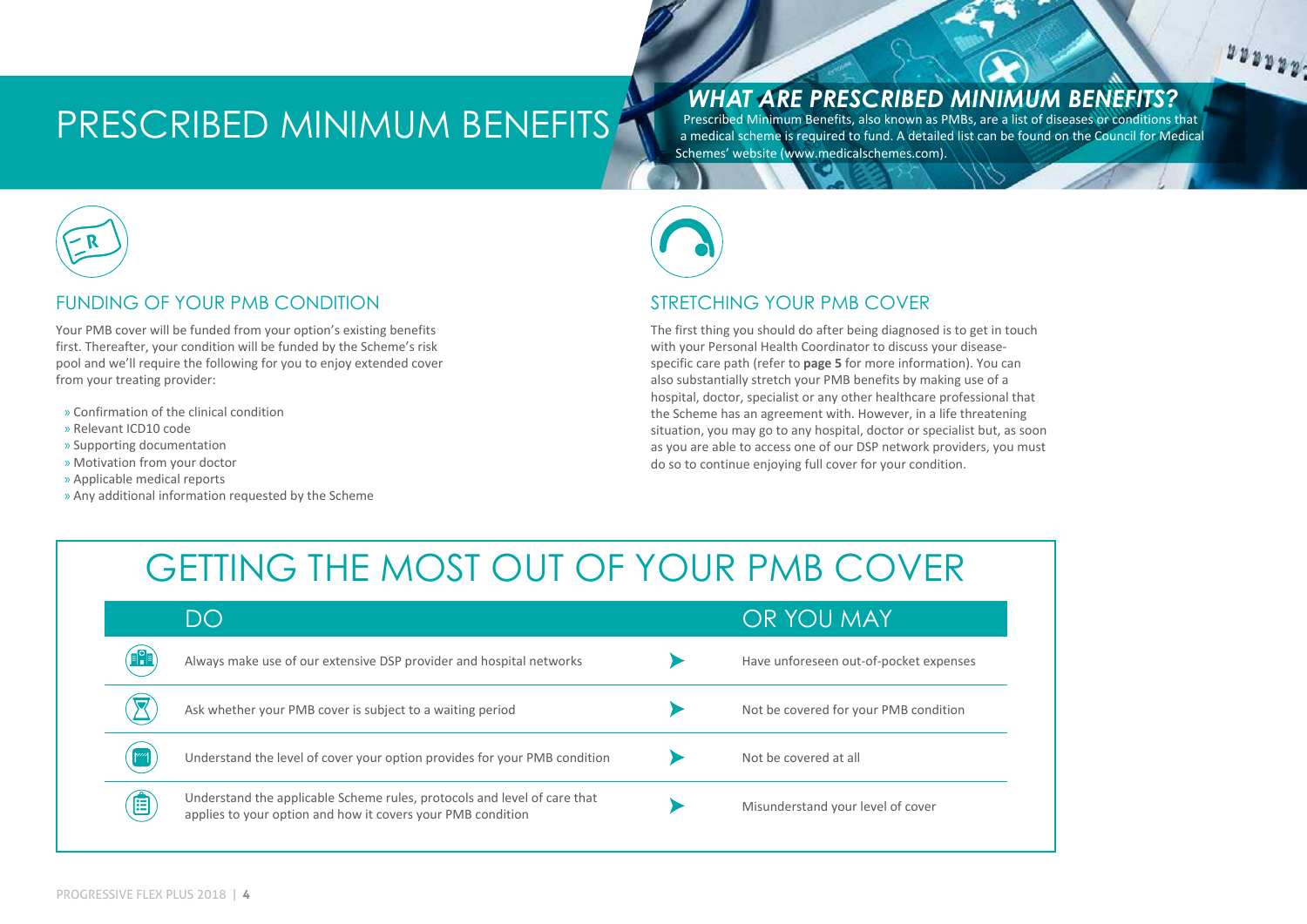## PRESCRIBED MINIMUM BENEFITS

#### *WHAT ARE PRESCRIBED MINIMUM BENEFITS?*

 $\begin{array}{c} u \, u \, v \, v \, v \, v \, . \end{array}$ 

Prescribed Minimum Benefits, also known as PMBs, are a list of diseases or conditions that a medical scheme is required to fund. A detailed list can be found on the Council for Medical Schemes' website (www.medicalschemes.com).



#### FUNDING OF YOUR PMB CONDITION

Your PMB cover will be funded from your option's existing benefits first. Thereafter, your condition will be funded by the Scheme's risk pool and we'll require the following for you to enjoy extended cover from your treating provider:

- » Confirmation of the clinical condition
- » Relevant ICD10 code
- » Supporting documentation
- » Motivation from your doctor
- » Applicable medical reports
- » Any additional information requested by the Scheme



#### STRETCHING YOUR PMB COVER

The first thing you should do after being diagnosed is to get in touch with your Personal Health Coordinator to discuss your diseasespecific care path (refer to **page 5** for more information). You can also substantially stretch your PMB benefits by making use of a hospital, doctor, specialist or any other healthcare professional that the Scheme has an agreement with. However, in a life threatening situation, you may go to any hospital, doctor or specialist but, as soon as you are able to access one of our DSP network providers, you must do so to continue enjoying full cover for your condition.

## GETTING THE MOST OUT OF YOUR PMB COVER

|              | DO                                                                                                                                      | OR YOU MAY                             |
|--------------|-----------------------------------------------------------------------------------------------------------------------------------------|----------------------------------------|
| <b>FRE</b>   | Always make use of our extensive DSP provider and hospital networks                                                                     | Have unforeseen out-of-pocket expenses |
|              | Ask whether your PMB cover is subject to a waiting period                                                                               | Not be covered for your PMB condition  |
| $\mathbb{M}$ | Understand the level of cover your option provides for your PMB condition                                                               | Not be covered at all                  |
| 目            | Understand the applicable Scheme rules, protocols and level of care that<br>applies to your option and how it covers your PMB condition | Misunderstand your level of cover      |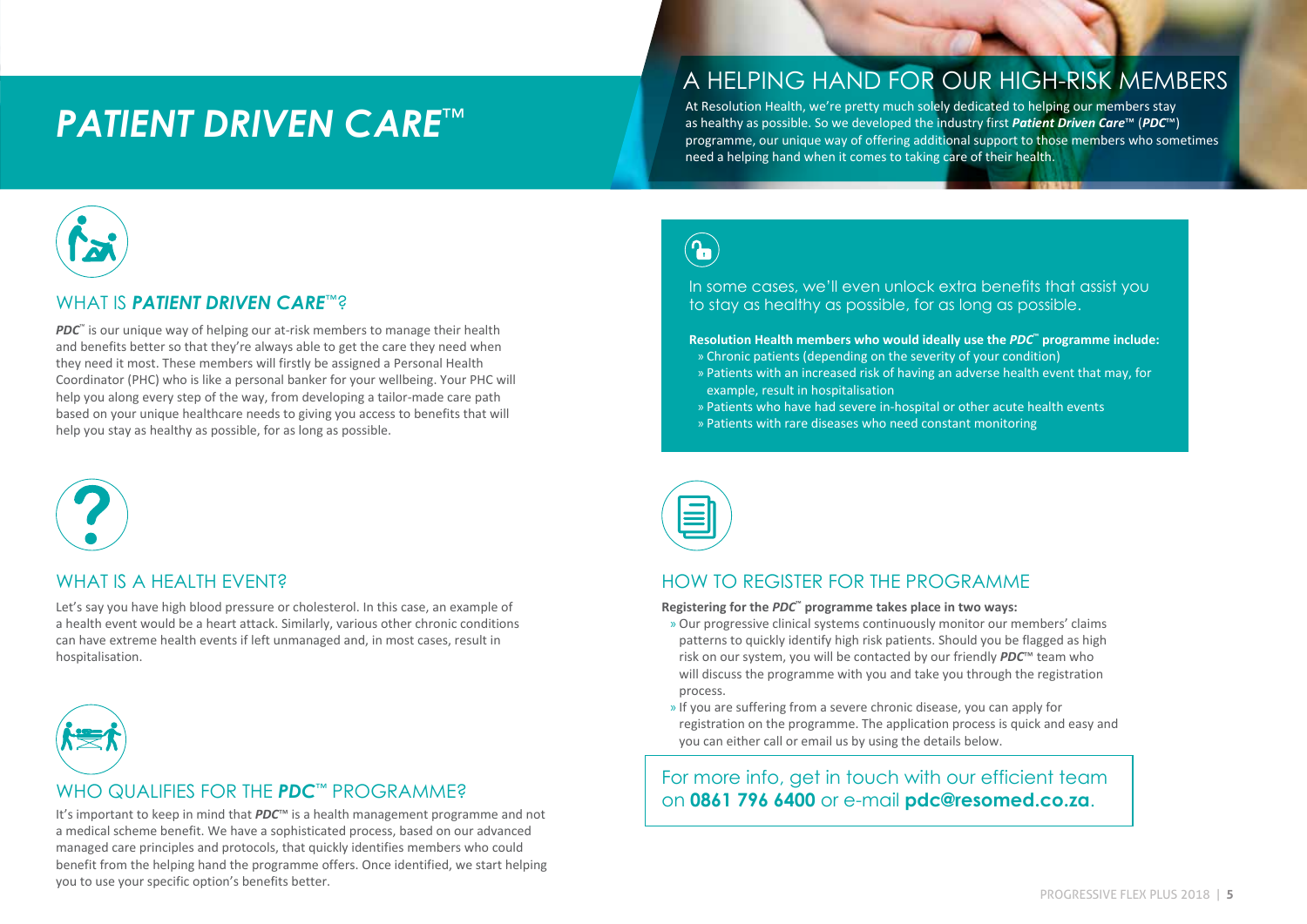## *PATIENT DRIVEN CARE*™

#### A HELPING HAND FOR OUR HIGH-RISK MEMBERS

At Resolution Health, we're pretty much solely dedicated to helping our members stay as healthy as possible. So we developed the industry first *Patient Driven Care*™ (*PDC*™) programme, our unique way of offering additional support to those members who sometimes need a helping hand when it comes to taking care of their health.



#### WHAT IS *PATIENT DRIVEN CARE*™?

*PDC*<sup>™</sup> is our unique way of helping our at-risk members to manage their health and benefits better so that they're always able to get the care they need when they need it most. These members will firstly be assigned a Personal Health Coordinator (PHC) who is like a personal banker for your wellbeing. Your PHC will help you along every step of the way, from developing a tailor-made care path based on your unique healthcare needs to giving you access to benefits that will help you stay as healthy as possible, for as long as possible.



#### WHAT IS A HEAITH FVFNT?

Let's say you have high blood pressure or cholesterol. In this case, an example of a health event would be a heart attack. Similarly, various other chronic conditions can have extreme health events if left unmanaged and, in most cases, result in hospitalisation.



#### WHO QUALIFIES FOR THE *PDC*™ PROGRAMME?

a medical scheme benefit. We have a sophisticated process, based on our advanced managed care principles and protocols, that quickly identifies members who could benefit from the helping hand the programme offers. Once identified, we start helping you to use your specific option's benefits better.

 $\left(\textcolor{red}{\bullet}\right)$ 

In some cases, we'll even unlock extra benefits that assist you to stay as healthy as possible, for as long as possible.

#### **Resolution Health members who would ideally use the** *PDC***™ programme include:**

- » Chronic patients (depending on the severity of your condition)
- » Patients with an increased risk of having an adverse health event that may, for example, result in hospitalisation
- » Patients who have had severe in-hospital or other acute health events
- » Patients with rare diseases who need constant monitoring



#### HOW TO REGISTER FOR THE PROGRAMME

**Registering for the** *PDC***™ programme takes place in two ways:**

- » Our progressive clinical systems continuously monitor our members' claims patterns to quickly identify high risk patients. Should you be flagged as high risk on our system, you will be contacted by our friendly *PDC*™ team who will discuss the programme with you and take you through the registration process.
- » If you are suffering from a severe chronic disease, you can apply for registration on the programme. The application process is quick and easy and you can either call or email us by using the details below.

For more info, get in touch with our efficient team ON **0861 796 6400** or e-mail **pdc@resomed.co.za.** 11 and that *PDC*™ is a health management programme and not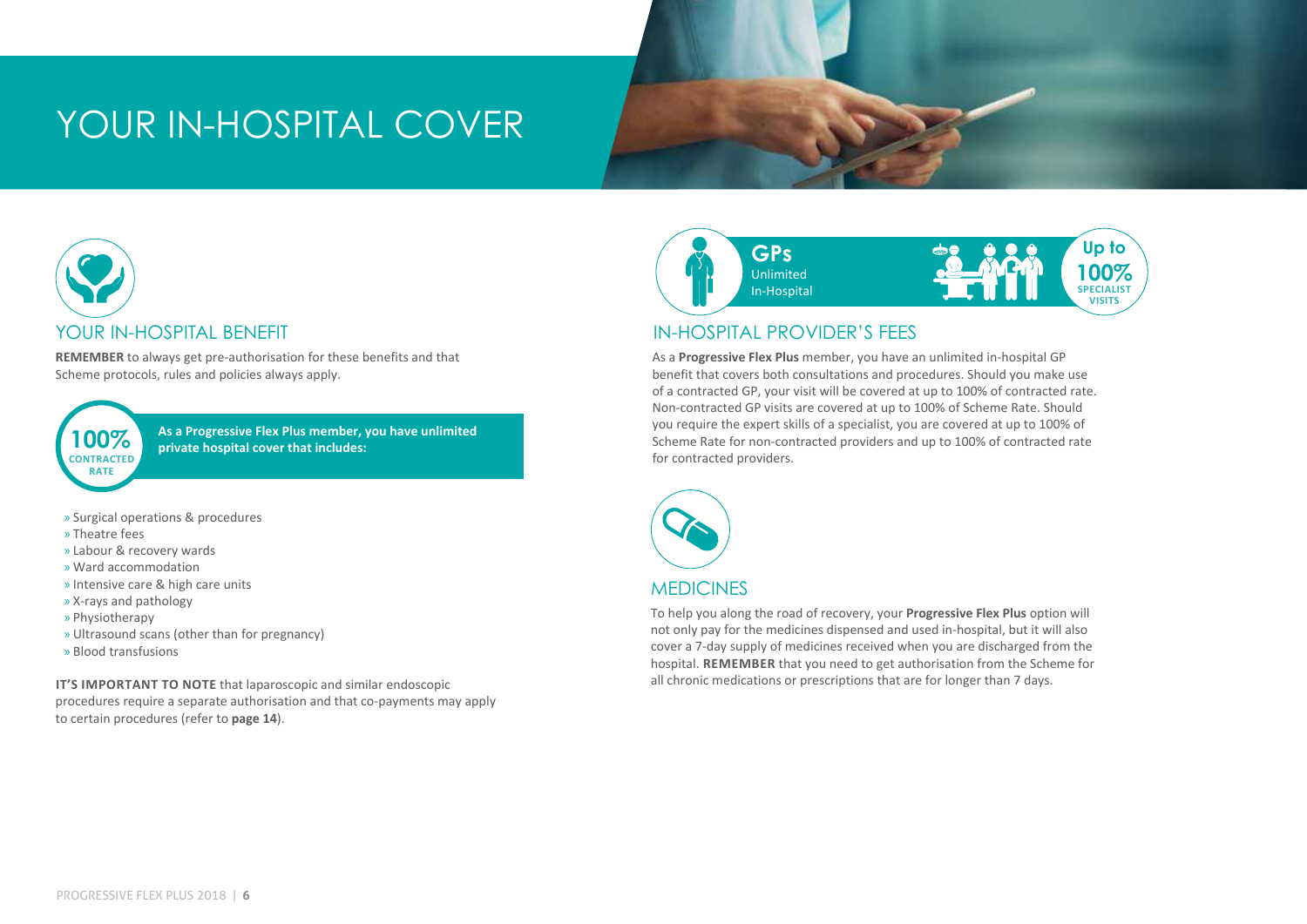## YOUR IN-HOSPITAL COVER



#### YOUR IN-HOSPITAL BENEFIT

**REMEMBER** to always get pre-authorisation for these benefits and that Scheme protocols, rules and policies always apply.

**CONTRACTED RATE**

**100%** As a Progressive Flex Plus member, you have unlimited private hospital cover that includes:

- » Surgical operations & procedures
- » Theatre fees
- » Labour & recovery wards
- » Ward accommodation
- » Intensive care & high care units
- » X-rays and pathology
- » Physiotherapy
- » Ultrasound scans (other than for pregnancy)
- » Blood transfusions

**IT'S IMPORTANT TO NOTE** that laparoscopic and similar endoscopic procedures require a separate authorisation and that co-payments may apply to certain procedures (refer to **page 14**).



#### IN-HOSPITAL PROVIDER'S FEES

As a **Progressive Flex Plus** member, you have an unlimited in-hospital GP benefit that covers both consultations and procedures. Should you make use of a contracted GP, your visit will be covered at up to 100% of contracted rate. Non-contracted GP visits are covered at up to 100% of Scheme Rate. Should you require the expert skills of a specialist, you are covered at up to 100% of Scheme Rate for non-contracted providers and up to 100% of contracted rate for contracted providers.



#### **MEDICINES**

To help you along the road of recovery, your **Progressive Flex Plus** option will not only pay for the medicines dispensed and used in-hospital, but it will also cover a 7-day supply of medicines received when you are discharged from the hospital. **REMEMBER** that you need to get authorisation from the Scheme for all chronic medications or prescriptions that are for longer than 7 days.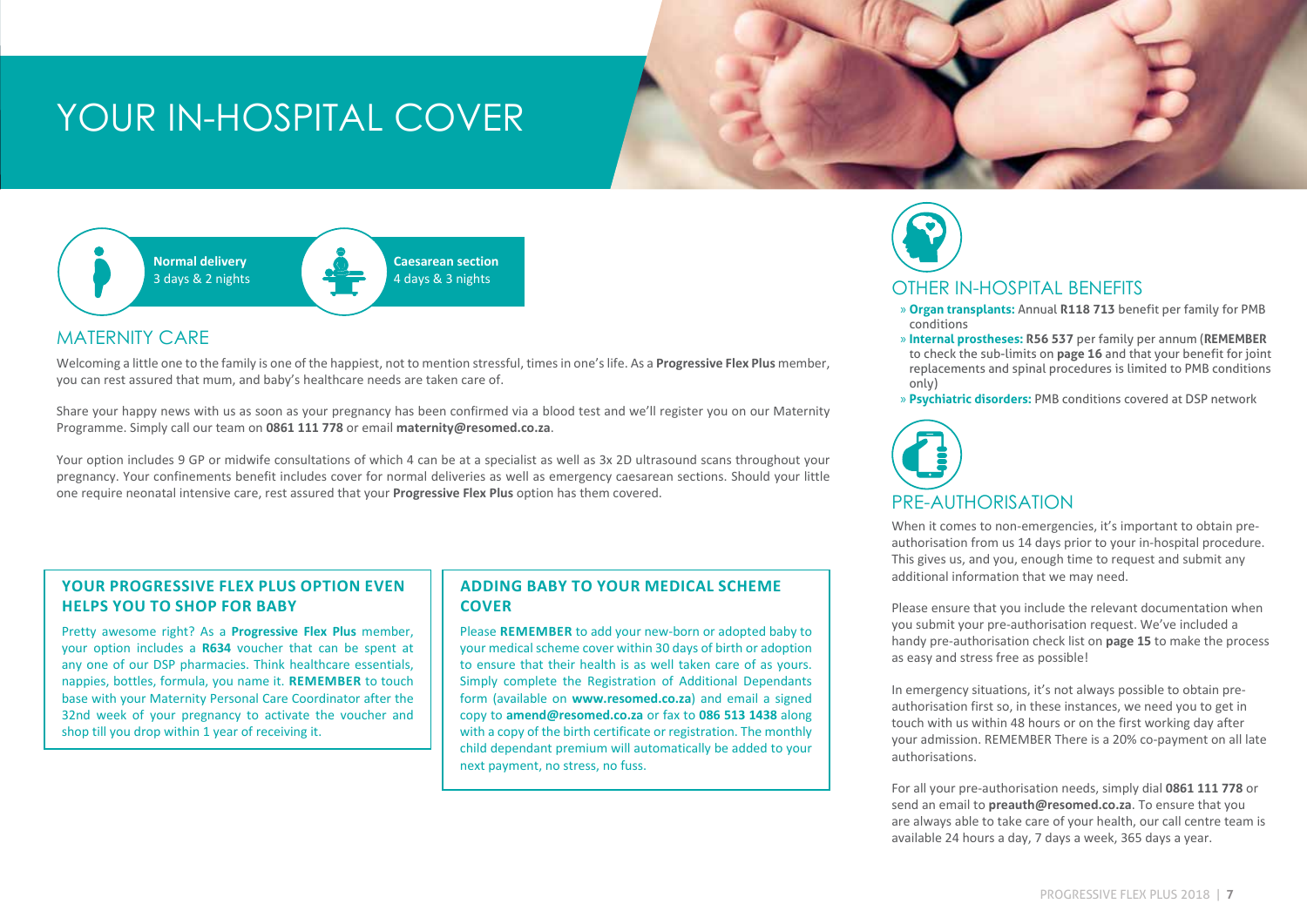## YOUR IN-HOSPITAL COVER



#### MATERNITY CARE

Welcoming a little one to the family is one of the happiest, not to mention stressful, times in one's life. As a **Progressive Flex Plus** member, you can rest assured that mum, and baby's healthcare needs are taken care of.

Share your happy news with us as soon as your pregnancy has been confirmed via a blood test and we'll register you on our Maternity Programme. Simply call our team on **0861 111 778** or email **maternity@resomed.co.za**.

Your option includes 9 GP or midwife consultations of which 4 can be at a specialist as well as 3x 2D ultrasound scans throughout your pregnancy. Your confinements benefit includes cover for normal deliveries as well as emergency caesarean sections. Should your little one require neonatal intensive care, rest assured that your **Progressive Flex Plus** option has them covered.

#### **YOUR PROGRESSIVE FLEX PLUS OPTION EVEN HELPS YOU TO SHOP FOR BABY**

Pretty awesome right? As a **Progressive Flex Plus** member, your option includes a **R634** voucher that can be spent at any one of our DSP pharmacies. Think healthcare essentials, nappies, bottles, formula, you name it. **REMEMBER** to touch base with your Maternity Personal Care Coordinator after the 32nd week of your pregnancy to activate the voucher and shop till you drop within 1 year of receiving it.

#### **ADDING BABY TO YOUR MEDICAL SCHEME COVER**

Please **REMEMBER** to add your new-born or adopted baby to your medical scheme cover within 30 days of birth or adoption to ensure that their health is as well taken care of as yours. Simply complete the Registration of Additional Dependants form (available on **www.resomed.co.za**) and email a signed copy to **amend@resomed.co.za** or fax to **086 513 1438** along with a copy of the birth certificate or registration. The monthly child dependant premium will automatically be added to your next payment, no stress, no fuss.



#### OTHER IN-HOSPITAL BENEFITS

- » **Organ transplants:** Annual **R118 713** benefit per family for PMB conditions
- » **Internal prostheses: R56 537** per family per annum (**REMEMBER** to check the sub-limits on **page 16** and that your benefit for joint replacements and spinal procedures is limited to PMB conditions only)
- » **Psychiatric disorders:** PMB conditions covered at DSP network



When it comes to non-emergencies, it's important to obtain preauthorisation from us 14 days prior to your in-hospital procedure. This gives us, and you, enough time to request and submit any additional information that we may need.

Please ensure that you include the relevant documentation when you submit your pre-authorisation request. We've included a handy pre-authorisation check list on **page 15** to make the process as easy and stress free as possible!

In emergency situations, it's not always possible to obtain preauthorisation first so, in these instances, we need you to get in touch with us within 48 hours or on the first working day after your admission. REMEMBER There is a 20% co-payment on all late authorisations.

For all your pre-authorisation needs, simply dial **0861 111 778** or send an email to **preauth@resomed.co.za**. To ensure that you are always able to take care of your health, our call centre team is available 24 hours a day, 7 days a week, 365 days a year.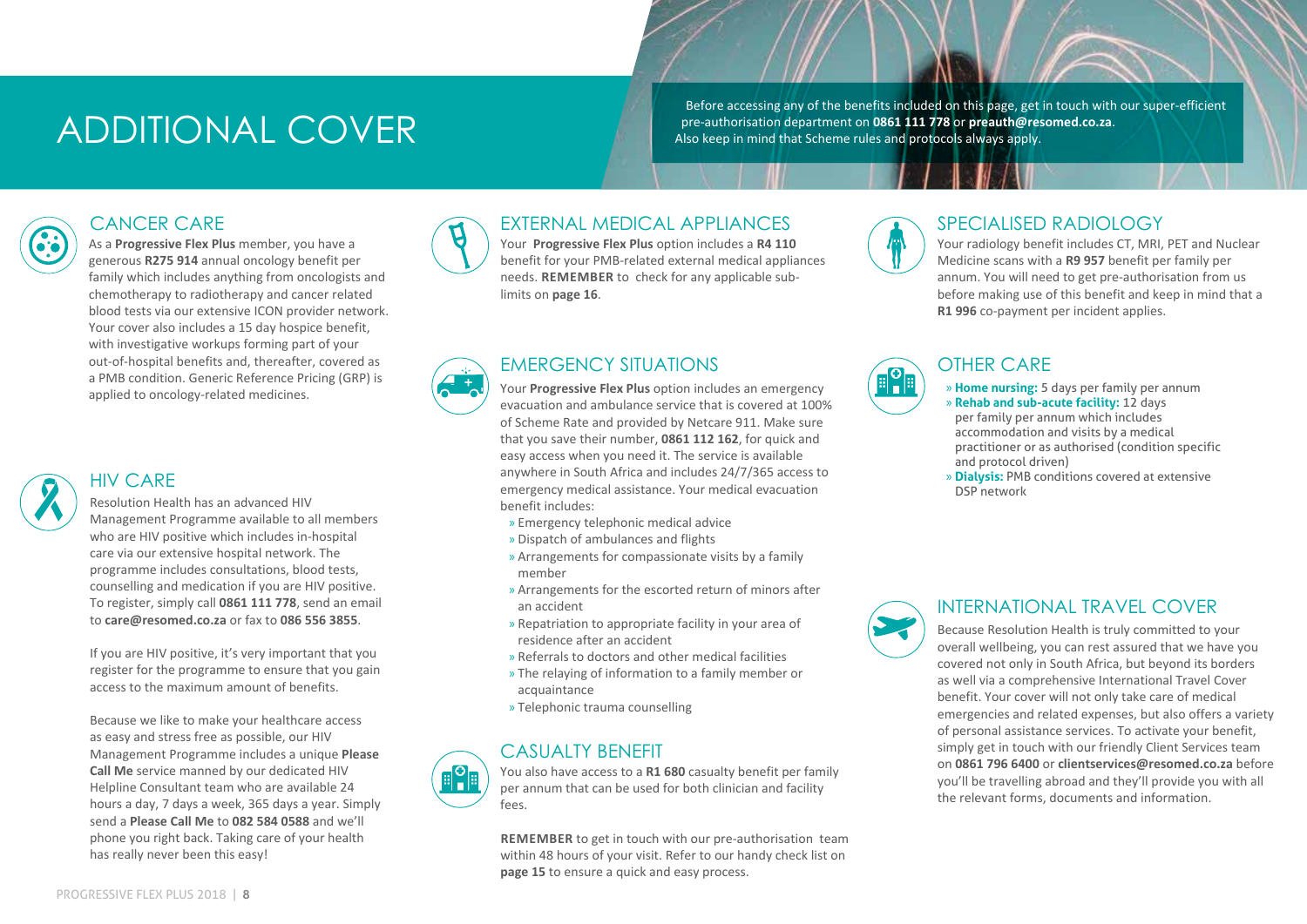## ADDITIONAL COVER

Before accessing any of the benefits included on this page, get in touch with our super-efficient pre-authorisation department on **0861 111 778** or **preauth@resomed.co.za**. Also keep in mind that Scheme rules and protocols always apply.

#### CANCER CARE

As a **Progressive Flex Plus** member, you have a generous **R275 914** annual oncology benefit per family which includes anything from oncologists and chemotherapy to radiotherapy and cancer related blood tests via our extensive ICON provider network. Your cover also includes a 15 day hospice benefit, with investigative workups forming part of your out-of-hospital benefits and, thereafter, covered as a PMB condition. Generic Reference Pricing (GRP) is applied to oncology-related medicines.



#### HIV CARE

Resolution Health has an advanced HIV Management Programme available to all members who are HIV positive which includes in-hospital care via our extensive hospital network. The programme includes consultations, blood tests, counselling and medication if you are HIV positive. To register, simply call **0861 111 778**, send an email to **care@resomed.co.za** or fax to **086 556 3855**.

If you are HIV positive, it's very important that you register for the programme to ensure that you gain access to the maximum amount of benefits.

Because we like to make your healthcare access as easy and stress free as possible, our HIV Management Programme includes a unique **Please Call Me** service manned by our dedicated HIV Helpline Consultant team who are available 24 hours a day, 7 days a week, 365 days a year. Simply send a **Please Call Me** to **082 584 0588** and we'll phone you right back. Taking care of your health has really never been this easy!



#### EXTERNAL MEDICAL APPLIANCES

Your **Progressive Flex Plus** option includes a **R4 110** benefit for your PMB-related external medical appliances needs. **REMEMBER** to check for any applicable sublimits on **page 16**.

#### EMERGENCY SITUATIONS

Your **Progressive Flex Plus** option includes an emergency evacuation and ambulance service that is covered at 100% of Scheme Rate and provided by Netcare 911. Make sure that you save their number, **0861 112 162**, for quick and easy access when you need it. The service is available anywhere in South Africa and includes 24/7/365 access to emergency medical assistance. Your medical evacuation benefit includes:

- » Emergency telephonic medical advice
- » Dispatch of ambulances and flights
- » Arrangements for compassionate visits by a family member
- » Arrangements for the escorted return of minors after an accident
- » Repatriation to appropriate facility in your area of residence after an accident
- » Referrals to doctors and other medical facilities
- » The relaying of information to a family member or acquaintance
- » Telephonic trauma counselling

#### CASUALTY BENEFIT

You also have access to a **R1 680** casualty benefit per family per annum that can be used for both clinician and facility fees.

**REMEMBER** to get in touch with our pre-authorisation team within 48 hours of your visit. Refer to our handy check list on **page 15** to ensure a quick and easy process.



#### SPECIALISED RADIOLOGY

Your radiology benefit includes CT, MRI, PET and Nuclear Medicine scans with a **R9 957** benefit per family per annum. You will need to get pre-authorisation from us before making use of this benefit and keep in mind that a **R1 996** co-payment per incident applies.



#### OTHER CARE

- » **Home nursing:** 5 days per family per annum
- » **Rehab and sub-acute facility:** 12 days per family per annum which includes accommodation and visits by a medical practitioner or as authorised (condition specific and protocol driven)
- » **Dialysis:** PMB conditions covered at extensive DSP network



#### INTERNATIONAL TRAVEL COVER

Because Resolution Health is truly committed to your overall wellbeing, you can rest assured that we have you covered not only in South Africa, but beyond its borders as well via a comprehensive International Travel Cover benefit. Your cover will not only take care of medical emergencies and related expenses, but also offers a variety of personal assistance services. To activate your benefit, simply get in touch with our friendly Client Services team on **0861 796 6400** or **clientservices@resomed.co.za** before you'll be travelling abroad and they'll provide you with all the relevant forms, documents and information.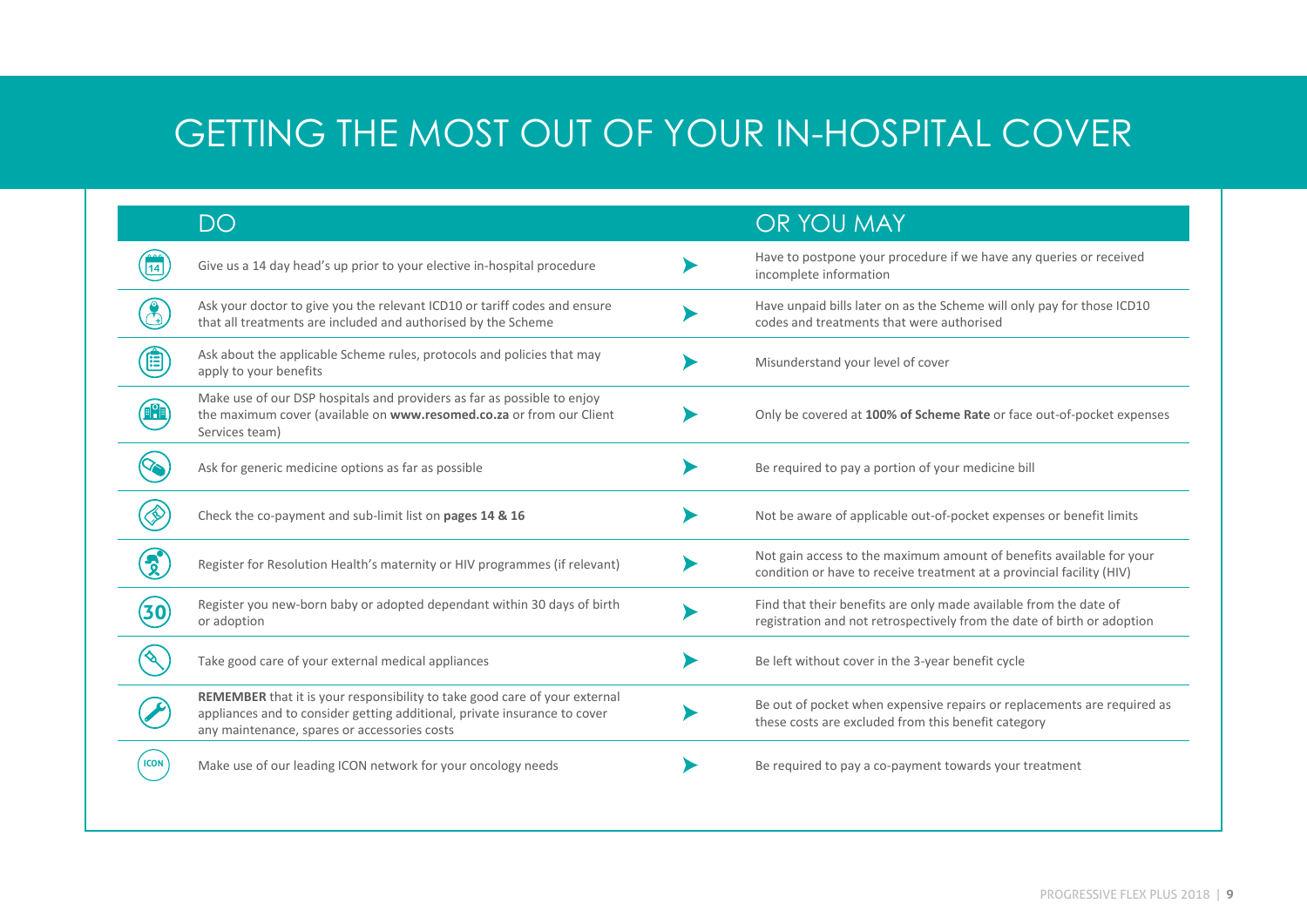## GETTING THE MOST OUT OF YOUR IN-HOSPITAL COVER

|             | DO                                                                                                                                                                                                      | OR YOU MAY                                                                                                                                    |
|-------------|---------------------------------------------------------------------------------------------------------------------------------------------------------------------------------------------------------|-----------------------------------------------------------------------------------------------------------------------------------------------|
|             | Give us a 14 day head's up prior to your elective in-hospital procedure                                                                                                                                 | Have to postpone your procedure if we have any queries or received<br>incomplete information                                                  |
|             | Ask your doctor to give you the relevant ICD10 or tariff codes and ensure<br>that all treatments are included and authorised by the Scheme                                                              | Have unpaid bills later on as the Scheme will only pay for those ICD10<br>codes and treatments that were authorised                           |
|             | Ask about the applicable Scheme rules, protocols and policies that may<br>apply to your benefits                                                                                                        | Misunderstand your level of cover                                                                                                             |
|             | Make use of our DSP hospitals and providers as far as possible to enjoy<br>the maximum cover (available on www.resomed.co.za or from our Client<br>Services team)                                       | Only be covered at 100% of Scheme Rate or face out-of-pocket expenses                                                                         |
|             | Ask for generic medicine options as far as possible                                                                                                                                                     | Be required to pay a portion of your medicine bill                                                                                            |
|             | Check the co-payment and sub-limit list on pages 14 & 16                                                                                                                                                | Not be aware of applicable out-of-pocket expenses or benefit limits                                                                           |
|             | Register for Resolution Health's maternity or HIV programmes (if relevant)                                                                                                                              | Not gain access to the maximum amount of benefits available for your<br>condition or have to receive treatment at a provincial facility (HIV) |
|             | Register you new-born baby or adopted dependant within 30 days of birth<br>or adoption                                                                                                                  | Find that their benefits are only made available from the date of<br>registration and not retrospectively from the date of birth or adoption  |
|             | Take good care of your external medical appliances                                                                                                                                                      | Be left without cover in the 3-year benefit cycle                                                                                             |
|             | REMEMBER that it is your responsibility to take good care of your external<br>appliances and to consider getting additional, private insurance to cover<br>any maintenance, spares or accessories costs | Be out of pocket when expensive repairs or replacements are required as<br>these costs are excluded from this benefit category                |
| <b>ICON</b> | Make use of our leading ICON network for your oncology needs                                                                                                                                            | Be required to pay a co-payment towards your treatment                                                                                        |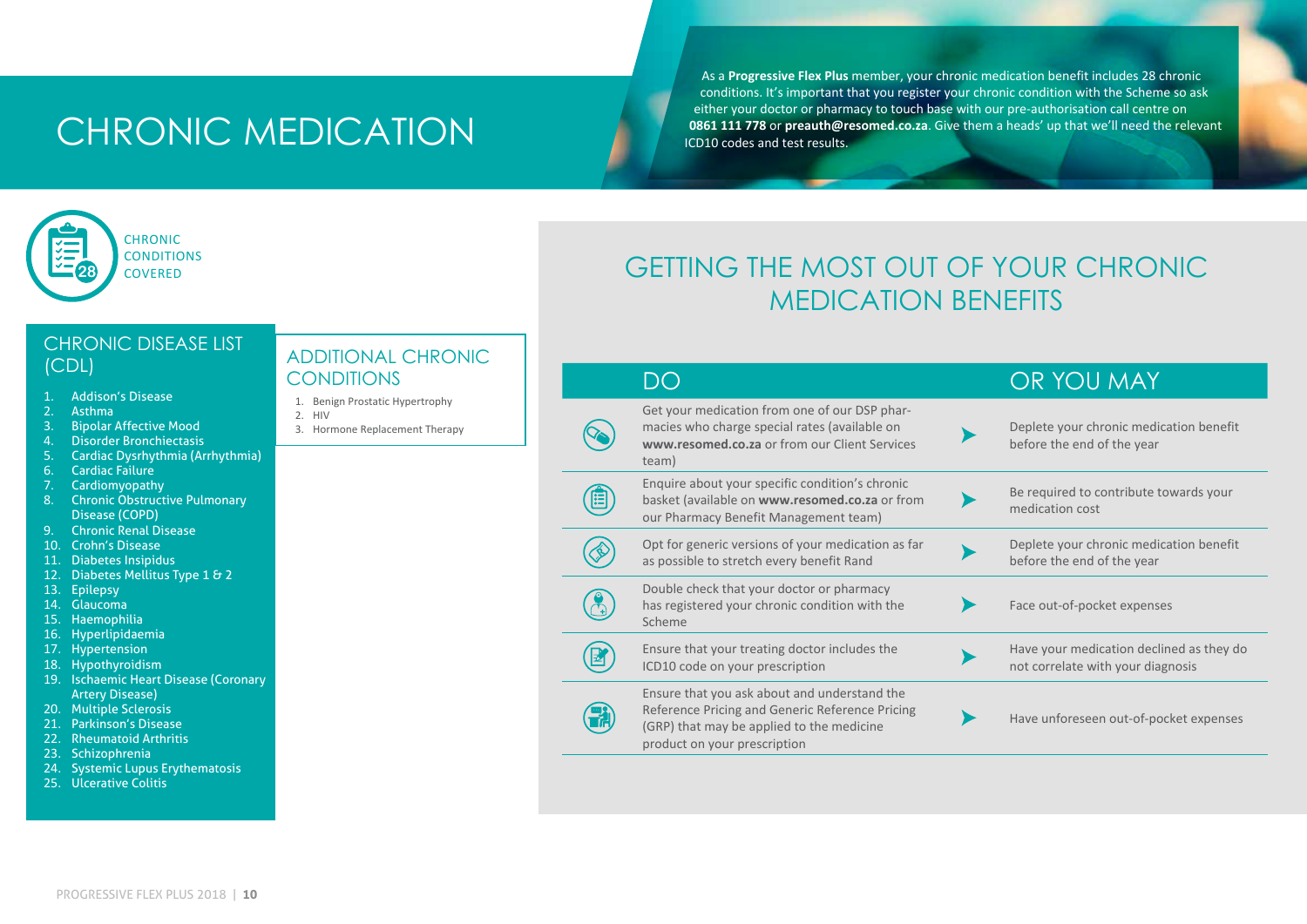## CHRONIC MEDICATION

As a **Progressive Flex Plus** member, your chronic medication benefit includes 28 chronic conditions. It's important that you register your chronic condition with the Scheme so ask either your doctor or pharmacy to touch base with our pre-authorisation call centre on **0861 111 778** or **preauth@resomed.co.za**. Give them a heads' up that we'll need the relevant ICD10 codes and test results.

## **CHRONIC CONDITIONS 28** COVERED

## CHRONIC DISEASE LIST

- 1. Addison's Disease
- 2. Asthma<br>3. Bipolar
- 3. Bipolar Affective Mood
- 4. Disorder Bronchiectasis<br>5. Cardiac Dysrhythmia (Ar
- 5. Cardiac Dysrhythmia (Arrhythmia)
- 6. Cardiac Failure
- 7. Cardiomyopathy
- 8. Chronic Obstructive Pulmonary Disease (COPD)
- 9. Chronic Renal Disease
- 10. Crohn's Disease
- 11. Diabetes Insipidus
- 12. Diabetes Mellitus Type 1 & 2
- 13. Epilepsy
- 14. Glaucoma
- 15. Haemophilia
- 16. Hyperlipidaemia
- 17. Hypertension
- 18. Hypothyroidism
- 19. Ischaemic Heart Disease (Coronary Artery Disease)
- 20. Multiple Sclerosis
- 21. Parkinson's Disease
- 22. Rheumatoid Arthritis
- 23. Schizophrenia
- 24. Systemic Lupus Erythematosis
- 25. Ulcerative Colitis

#### (CDL) ADDITIONAL CHRONIC **CONDITIONS**

- 1. Benign Prostatic Hypertrophy
- 2. HIV
- 3. Hormone Replacement Therapy

## GETTING THE MOST OUT OF YOUR CHRONIC MEDICATION BENEFITS

|                                                                                                                                                                              | OR YOU MAY                                                                    |
|------------------------------------------------------------------------------------------------------------------------------------------------------------------------------|-------------------------------------------------------------------------------|
| Get your medication from one of our DSP phar-<br>macies who charge special rates (available on<br>www.resomed.co.za or from our Client Services<br>team)                     | Deplete your chronic medication benefit<br>before the end of the year         |
| Enquire about your specific condition's chronic<br>basket (available on www.resomed.co.za or from<br>our Pharmacy Benefit Management team)                                   | Be required to contribute towards your<br>medication cost                     |
| Opt for generic versions of your medication as far<br>as possible to stretch every benefit Rand                                                                              | Deplete your chronic medication benefit<br>before the end of the year         |
| Double check that your doctor or pharmacy<br>has registered your chronic condition with the<br>Scheme                                                                        | Face out-of-pocket expenses                                                   |
| Ensure that your treating doctor includes the<br>ICD10 code on your prescription                                                                                             | Have your medication declined as they do<br>not correlate with your diagnosis |
| Ensure that you ask about and understand the<br>Reference Pricing and Generic Reference Pricing<br>(GRP) that may be applied to the medicine<br>product on your prescription | Have unforeseen out-of-pocket expenses                                        |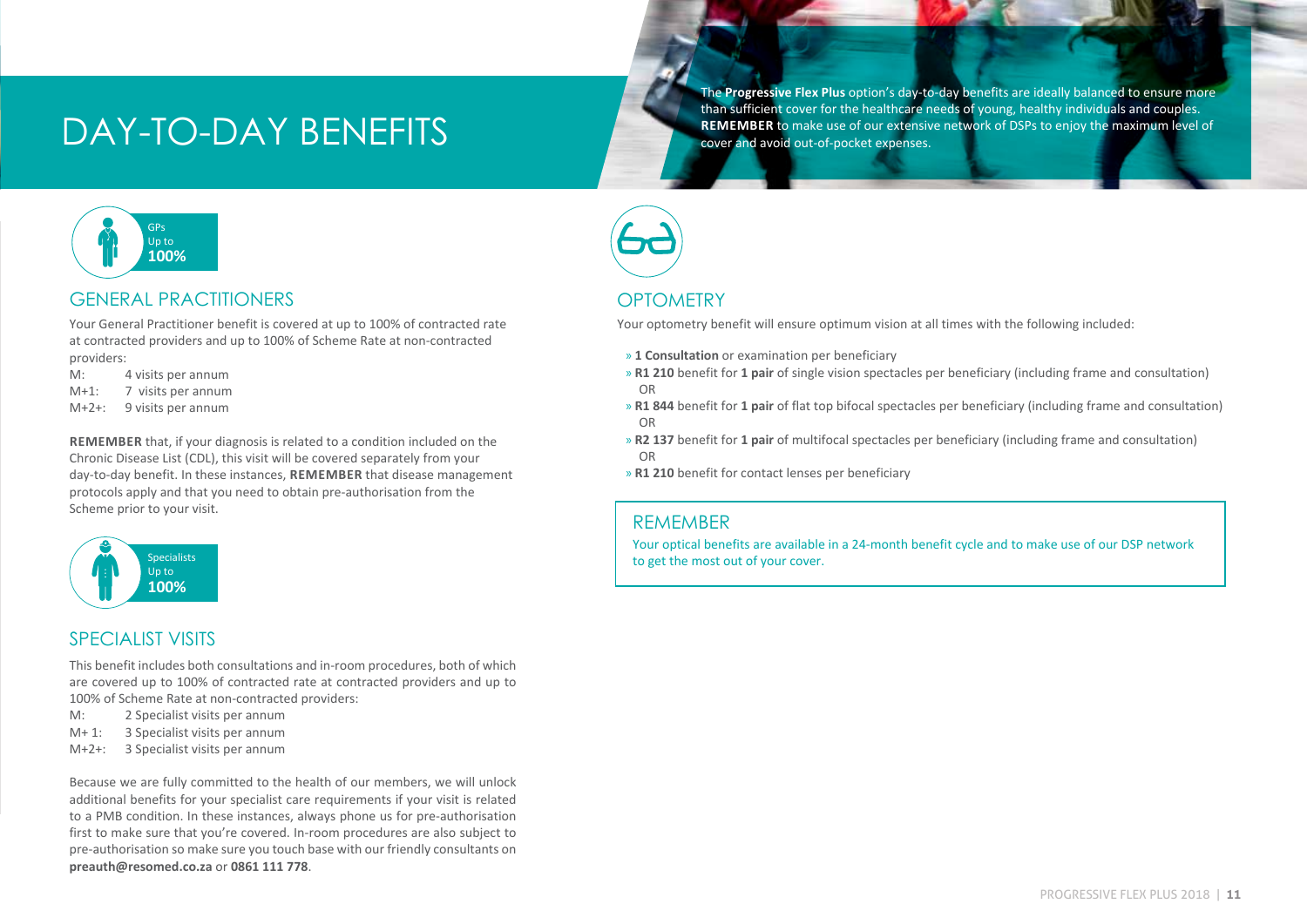## DAY-TO-DAY BENEFITS

The **Progressive Flex Plus** option's day-to-day benefits are ideally balanced to ensure more than sufficient cover for the healthcare needs of young, healthy individuals and couples. **REMEMBER** to make use of our extensive network of DSPs to enjoy the maximum level of cover and avoid out-of-pocket expenses.



#### GENERAL PRACTITIONERS

Your General Practitioner benefit is covered at up to 100% of contracted rate at contracted providers and up to 100% of Scheme Rate at non-contracted providers:

- M: 4 visits per annum
- M+1: 7 visits per annum
- M+2+: 9 visits per annum

**REMEMBER** that, if your diagnosis is related to a condition included on the Chronic Disease List (CDL), this visit will be covered separately from your day-to-day benefit. In these instances, **REMEMBER** that disease management protocols apply and that you need to obtain pre-authorisation from the Scheme prior to your visit.



#### SPECIALIST VISITS

This benefit includes both consultations and in-room procedures, both of which are covered up to 100% of contracted rate at contracted providers and up to 100% of Scheme Rate at non-contracted providers:

- M: 2 Specialist visits per annum<br>M+1: 3 Specialist visits per annum
- 3 Specialist visits per annum
- M+2+: 3 Specialist visits per annum

Because we are fully committed to the health of our members, we will unlock additional benefits for your specialist care requirements if your visit is related to a PMB condition. In these instances, always phone us for pre-authorisation first to make sure that you're covered. In-room procedures are also subject to pre-authorisation so make sure you touch base with our friendly consultants on **preauth@resomed.co.za** or **0861 111 778**.



#### **OPTOMETRY**

Your optometry benefit will ensure optimum vision at all times with the following included:

- » **1 Consultation** or examination per beneficiary
- » **R1 210** benefit for **1 pair** of single vision spectacles per beneficiary (including frame and consultation) OR
- » **R1 844** benefit for **1 pair** of flat top bifocal spectacles per beneficiary (including frame and consultation) OR
- » **R2 137** benefit for **1 pair** of multifocal spectacles per beneficiary (including frame and consultation) OR
- » **R1 210** benefit for contact lenses per beneficiary

#### REMEMBER

Your optical benefits are available in a 24-month benefit cycle and to make use of our DSP network to get the most out of your cover.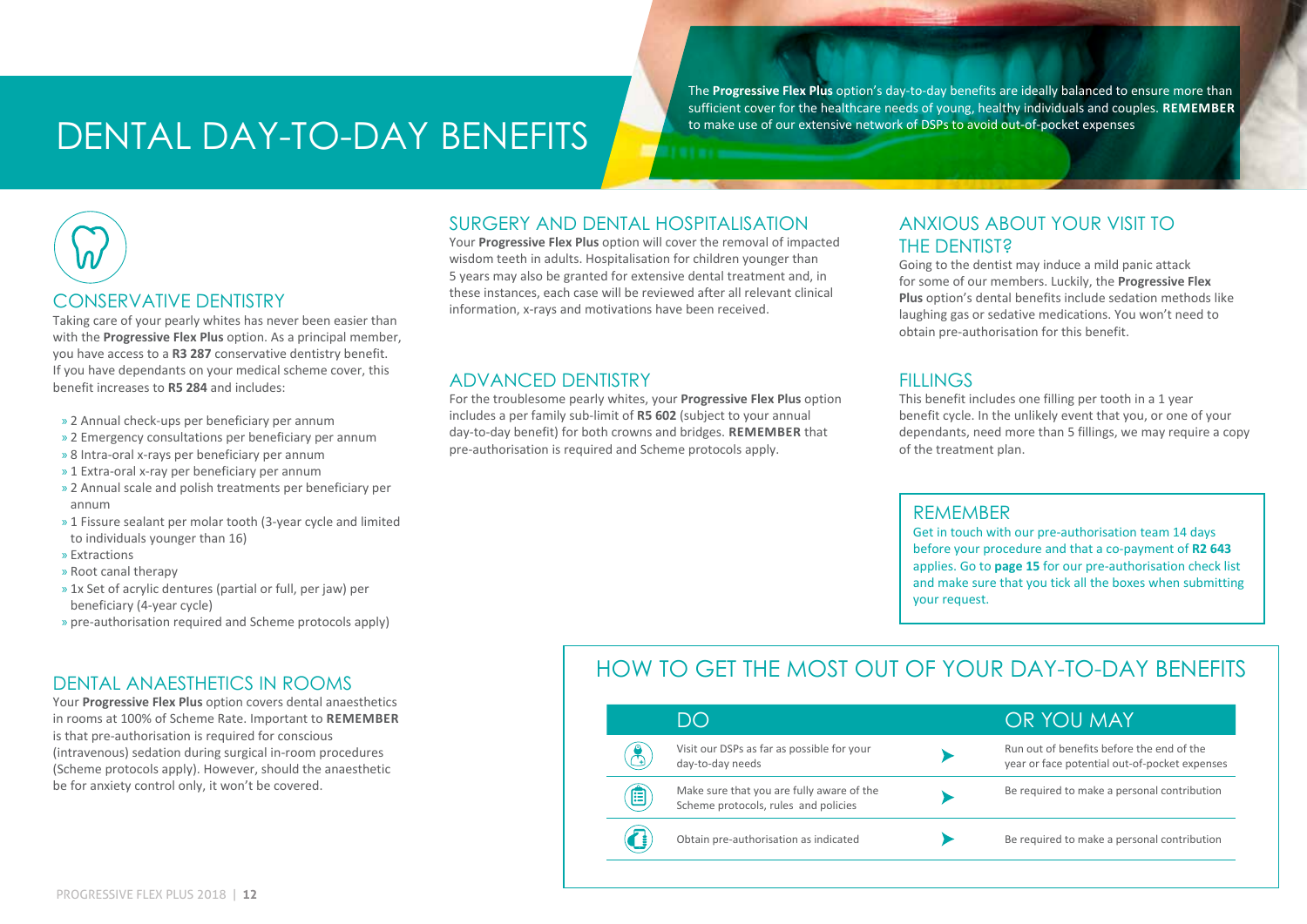## DENTAL DAY-TO-DAY BENEFITS

The **Progressive Flex Plus** option's day-to-day benefits are ideally balanced to ensure more than sufficient cover for the healthcare needs of young, healthy individuals and couples. **REMEMBER** to make use of our extensive network of DSPs to avoid out-of-pocket expenses



#### CONSERVATIVE DENTISTRY

Taking care of your pearly whites has never been easier than with the **Progressive Flex Plus** option. As a principal member, you have access to a **R3 287** conservative dentistry benefit. If you have dependants on your medical scheme cover, this benefit increases to **R5 284** and includes:

- » 2 Annual check-ups per beneficiary per annum
- » 2 Emergency consultations per beneficiary per annum
- » 8 Intra-oral x-rays per beneficiary per annum
- » 1 Extra-oral x-ray per beneficiary per annum
- » 2 Annual scale and polish treatments per beneficiary per annum
- » 1 Fissure sealant per molar tooth (3-year cycle and limited to individuals younger than 16)
- » Extractions
- » Root canal therapy
- » 1x Set of acrylic dentures (partial or full, per jaw) per beneficiary (4-year cycle)
- » pre-authorisation required and Scheme protocols apply)

#### DENTAL ANAESTHETICS IN ROOMS

Your **Progressive Flex Plus** option covers dental anaesthetics in rooms at 100% of Scheme Rate. Important to **REMEMBER** is that pre-authorisation is required for conscious (intravenous) sedation during surgical in-room procedures (Scheme protocols apply). However, should the anaesthetic be for anxiety control only, it won't be covered.

#### SURGERY AND DENTAL HOSPITALISATION

Your **Progressive Flex Plus** option will cover the removal of impacted wisdom teeth in adults. Hospitalisation for children younger than 5 years may also be granted for extensive dental treatment and, in these instances, each case will be reviewed after all relevant clinical information, x-rays and motivations have been received.

#### ADVANCED DENTISTRY

For the troublesome pearly whites, your **Progressive Flex Plus** option includes a per family sub-limit of **R5 602** (subject to your annual day-to-day benefit) for both crowns and bridges. **REMEMBER** that pre-authorisation is required and Scheme protocols apply.

#### ANXIOUS ABOUT YOUR VISIT TO THE DENTIST?

Going to the dentist may induce a mild panic attack for some of our members. Luckily, the **Progressive Flex Plus** option's dental benefits include sedation methods like laughing gas or sedative medications. You won't need to obtain pre-authorisation for this benefit.

#### **FILLINGS**

This benefit includes one filling per tooth in a 1 year benefit cycle. In the unlikely event that you, or one of your dependants, need more than 5 fillings, we may require a copy of the treatment plan.

#### REMEMBER

Get in touch with our pre-authorisation team 14 days before your procedure and that a co-payment of **R2 643** applies. Go to **page 15** for our pre-authorisation check list and make sure that you tick all the boxes when submitting your request.

#### HOW TO GET THE MOST OUT OF YOUR DAY-TO-DAY BENEFITS

|   | DO                                                                                | OR YOU MAY                                                                                 |
|---|-----------------------------------------------------------------------------------|--------------------------------------------------------------------------------------------|
|   | Visit our DSPs as far as possible for your<br>day-to-day needs                    | Run out of benefits before the end of the<br>year or face potential out-of-pocket expenses |
| 囯 | Make sure that you are fully aware of the<br>Scheme protocols, rules and policies | Be required to make a personal contribution                                                |
|   | Obtain pre-authorisation as indicated                                             | Be required to make a personal contribution                                                |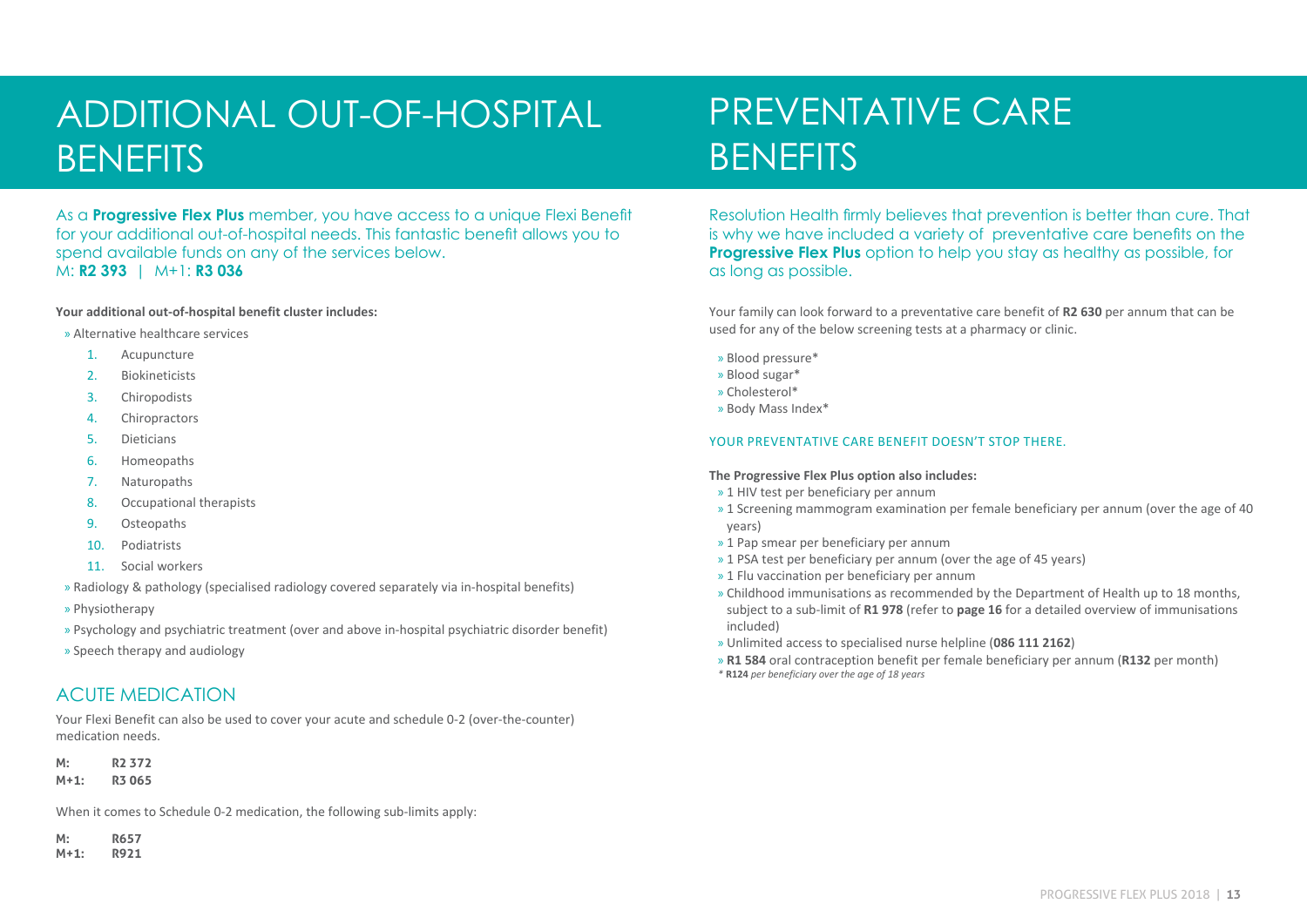## ADDITIONAL OUT-OF-HOSPITAL **BENEFITS**

As a **Progressive Flex Plus** member, you have access to a unique Flexi Benefit for your additional out-of-hospital needs. This fantastic benefit allows you to spend available funds on any of the services below. M: **R2 393** | M+1: **R3 036**

#### **Your additional out-of-hospital benefit cluster includes:**

- » Alternative healthcare services
	- 1. Acupuncture
	- 2. Biokineticists
	- 3. Chiropodists
	- 4. Chiropractors
	- 5. Dieticians
	- 6. Homeopaths
	- 7. Naturopaths
	- 8. Occupational therapists
	- 9. Osteopaths
	- 10. Podiatrists
	- 11. Social workers
- » Radiology & pathology (specialised radiology covered separately via in-hospital benefits)
- » Physiotherapy
- » Psychology and psychiatric treatment (over and above in-hospital psychiatric disorder benefit)
- » Speech therapy and audiology

#### ACUTE MEDICATION

Your Flexi Benefit can also be used to cover your acute and schedule 0-2 (over-the-counter) medication needs.

**M: R2 372**

**M+1: R3 065**

When it comes to Schedule 0-2 medication, the following sub-limits apply:

**M: R657**

**M+1: R921**

## PREVENTATIVE CARE **BENEFITS**

Resolution Health firmly believes that prevention is better than cure. That is why we have included a variety of preventative care benefits on the **Progressive Flex Plus** option to help you stay as healthy as possible, for as long as possible.

Your family can look forward to a preventative care benefit of **R2 630** per annum that can be used for any of the below screening tests at a pharmacy or clinic.

- » Blood pressure\*
- » Blood sugar\*
- » Cholesterol\*
- » Body Mass Index\*

#### YOUR PREVENTATIVE CARE BENEFIT DOESN'T STOP THERE.

#### **The Progressive Flex Plus option also includes:**

- » 1 HIV test per beneficiary per annum
- » 1 Screening mammogram examination per female beneficiary per annum (over the age of 40 years)
- » 1 Pap smear per beneficiary per annum
- » 1 PSA test per beneficiary per annum (over the age of 45 years)
- » 1 Flu vaccination per beneficiary per annum
- » Childhood immunisations as recommended by the Department of Health up to 18 months, subject to a sub-limit of **R1 978** (refer to **page 16** for a detailed overview of immunisations included)
- » Unlimited access to specialised nurse helpline (**086 111 2162**)
- » **R1 584** oral contraception benefit per female beneficiary per annum (**R132** per month) *\** **R124** *per beneficiary over the age of 18 years*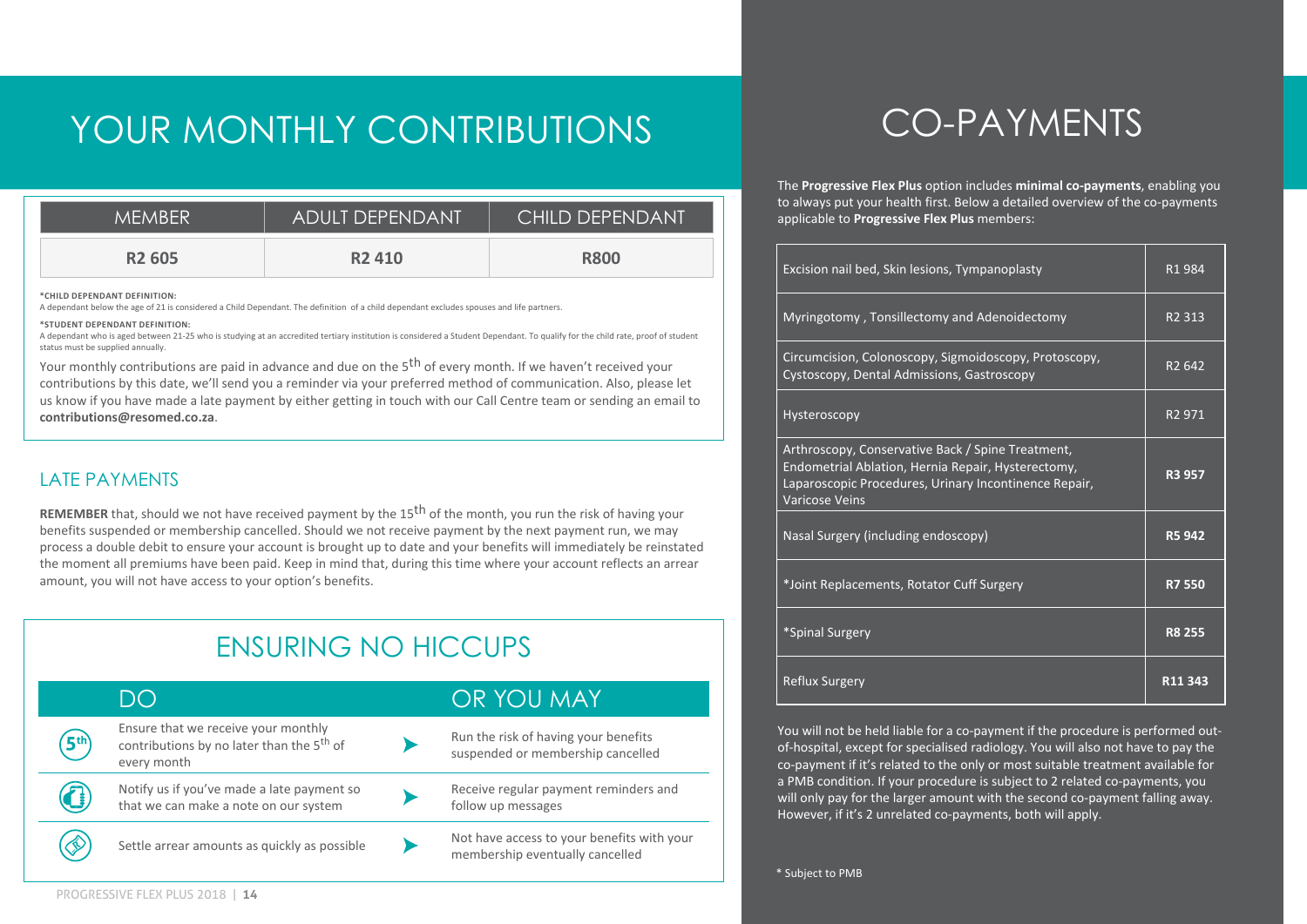## YOUR MONTHLY CONTRIBUTIONS

| <b>MEMBER</b>      | <b>ADULT DEPENDANT</b> | <b>CHILD DEPENDANT</b> |
|--------------------|------------------------|------------------------|
| R <sub>2</sub> 605 | R <sub>2</sub> 410     | <b>R800</b>            |

**\*CHILD DEPENDANT DEFINITION:**

A dependant below the age of 21 is considered a Child Dependant. The definition of a child dependant excludes spouses and life partners.

#### **\*STUDENT DEPENDANT DEFINITION:**

A dependant who is aged between 21-25 who is studying at an accredited tertiary institution is considered a Student Dependant. To qualify for the child rate, proof of student status must be supplied annually.

Your monthly contributions are paid in advance and due on the 5<sup>th</sup> of every month. If we haven't received your contributions by this date, we'll send you a reminder via your preferred method of communication. Also, please let us know if you have made a late payment by either getting in touch with our Call Centre team or sending an email to **contributions@resomed.co.za**.

#### LATE PAYMENTS

**REMEMBER** that, should we not have received payment by the 15th of the month, you run the risk of having your benefits suspended or membership cancelled. Should we not receive payment by the next payment run, we may process a double debit to ensure your account is brought up to date and your benefits will immediately be reinstated the moment all premiums have been paid. Keep in mind that, during this time where your account reflects an arrear amount, you will not have access to your option's benefits.

### ENSURING NO HICCUPS

|                 | $\bigcup$                                                                                                   | OR YOU MAY                                                                    |
|-----------------|-------------------------------------------------------------------------------------------------------------|-------------------------------------------------------------------------------|
| 5 <sup>th</sup> | Ensure that we receive your monthly<br>contributions by no later than the 5 <sup>th</sup> of<br>every month | Run the risk of having your benefits<br>suspended or membership cancelled     |
| ĹŜ,             | Notify us if you've made a late payment so<br>that we can make a note on our system                         | Receive regular payment reminders and<br>follow up messages                   |
|                 | Settle arrear amounts as quickly as possible                                                                | Not have access to your benefits with your<br>membership eventually cancelled |

## CO-PAYMENTS

The **Progressive Flex Plus** option includes **minimal co-payments**, enabling you to always put your health first. Below a detailed overview of the co-payments applicable to **Progressive Flex Plus** members:

| Excision nail bed, Skin lesions, Tympanoplasty                                                                                                                                            | R1984              |
|-------------------------------------------------------------------------------------------------------------------------------------------------------------------------------------------|--------------------|
| Myringotomy, Tonsillectomy and Adenoidectomy                                                                                                                                              | R <sub>2</sub> 313 |
| Circumcision, Colonoscopy, Sigmoidoscopy, Protoscopy,<br>Cystoscopy, Dental Admissions, Gastroscopy                                                                                       | R <sub>2</sub> 642 |
| Hysteroscopy                                                                                                                                                                              | R <sub>2</sub> 971 |
| Arthroscopy, Conservative Back / Spine Treatment,<br>Endometrial Ablation, Hernia Repair, Hysterectomy,<br>Laparoscopic Procedures, Urinary Incontinence Repair,<br><b>Varicose Veins</b> | R3 957             |
| Nasal Surgery (including endoscopy)                                                                                                                                                       | R5 942             |
| *Joint Replacements, Rotator Cuff Surgery                                                                                                                                                 | <b>R7550</b>       |
| *Spinal Surgery                                                                                                                                                                           | <b>R8 255</b>      |
| <b>Reflux Surgery</b>                                                                                                                                                                     | R11 343            |

You will not be held liable for a co-payment if the procedure is performed outof-hospital, except for specialised radiology. You will also not have to pay the co-payment if it's related to the only or most suitable treatment available for a PMB condition. If your procedure is subject to 2 related co-payments, you will only pay for the larger amount with the second co-payment falling away. However, if it's 2 unrelated co-payments, both will apply.

\* Subject to PMB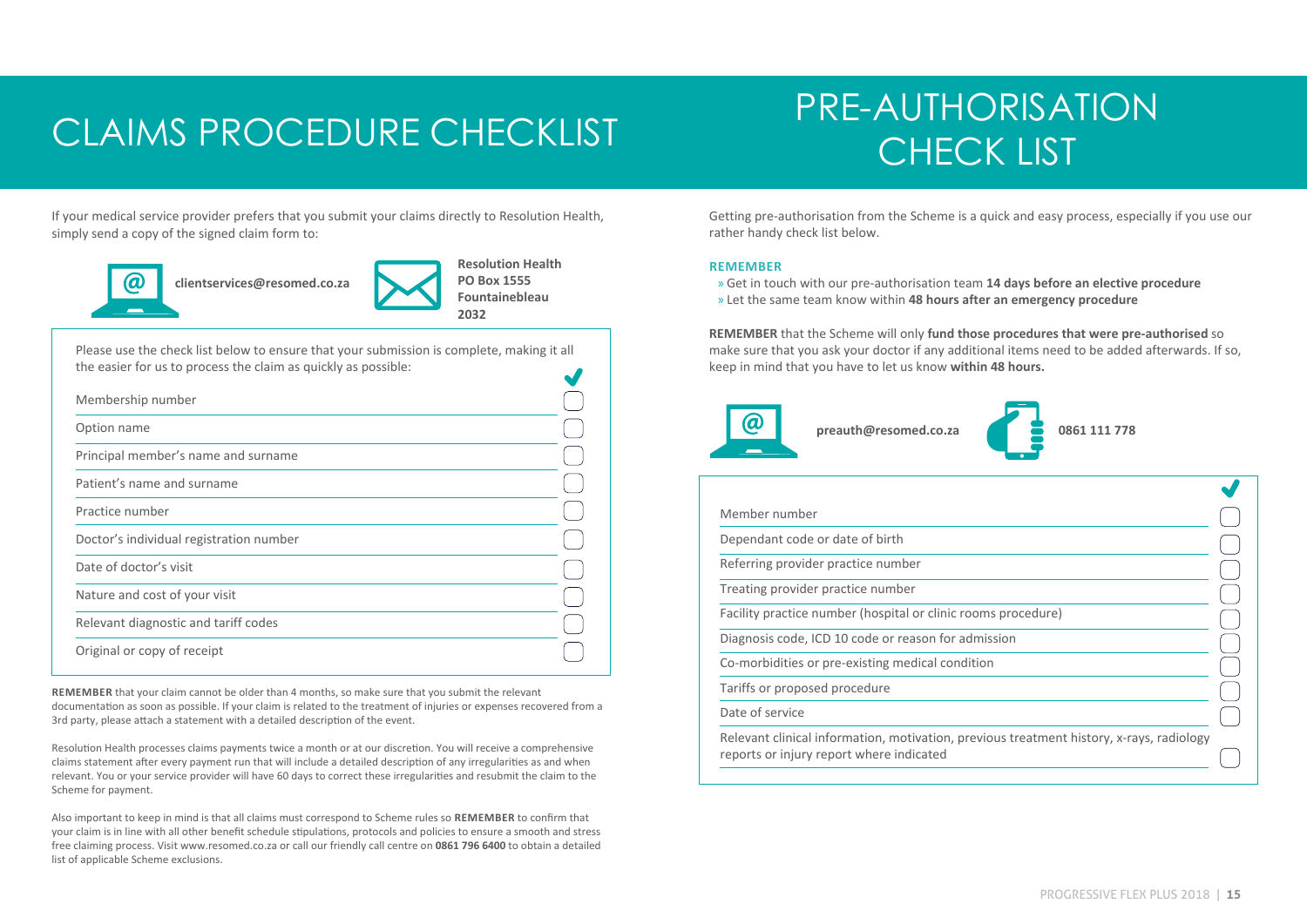## CLAIMS PROCEDURE CHECKLIST THE MOTIONS

# PRE-AUTHORISATION

If your medical service provider prefers that you submit your claims directly to Resolution Health, simply send a copy of the signed claim form to:



 **clientservices@resomed.co.za** 



Please use the check list below to ensure that your submission is complete, making it all the easier for us to process the claim as quickly as possible:  $\overline{\phantom{a}}$ 

| Membership number                       |  |
|-----------------------------------------|--|
| Option name                             |  |
| Principal member's name and surname     |  |
| Patient's name and surname              |  |
| Practice number                         |  |
| Doctor's individual registration number |  |
| Date of doctor's visit                  |  |
| Nature and cost of your visit           |  |
| Relevant diagnostic and tariff codes    |  |
| Original or copy of receipt             |  |

**REMEMBER** that your claim cannot be older than 4 months, so make sure that you submit the relevant documentation as soon as possible. If your claim is related to the treatment of injuries or expenses recovered from a 3rd party, please attach a statement with a detailed description of the event.

Resolution Health processes claims payments twice a month or at our discretion. You will receive a comprehensive claims statement after every payment run that will include a detailed description of any irregularities as and when relevant. You or your service provider will have 60 days to correct these irregularities and resubmit the claim to the Scheme for payment.

Also important to keep in mind is that all claims must correspond to Scheme rules so **REMEMBER** to confirm that your claim is in line with all other benefit schedule stipulations, protocols and policies to ensure a smooth and stress free claiming process. Visit www.resomed.co.za or call our friendly call centre on **0861 796 6400** to obtain a detailed list of applicable Scheme exclusions.

Getting pre-authorisation from the Scheme is a quick and easy process, especially if you use our rather handy check list below.

#### **REMEMBER**

» Get in touch with our pre-authorisation team **14 days before an elective procedure** » Let the same team know within **48 hours after an emergency procedure**

**REMEMBER** that the Scheme will only **fund those procedures that were pre-authorised** so make sure that you ask your doctor if any additional items need to be added afterwards. If so, keep in mind that you have to let us know **within 48 hours.**





| Member number                                                                                                                        |  |
|--------------------------------------------------------------------------------------------------------------------------------------|--|
| Dependant code or date of birth                                                                                                      |  |
| Referring provider practice number                                                                                                   |  |
| Treating provider practice number                                                                                                    |  |
| Facility practice number (hospital or clinic rooms procedure)                                                                        |  |
| Diagnosis code, ICD 10 code or reason for admission                                                                                  |  |
| Co-morbidities or pre-existing medical condition                                                                                     |  |
| Tariffs or proposed procedure                                                                                                        |  |
| Date of service                                                                                                                      |  |
| Relevant clinical information, motivation, previous treatment history, x-rays, radiology<br>reports or injury report where indicated |  |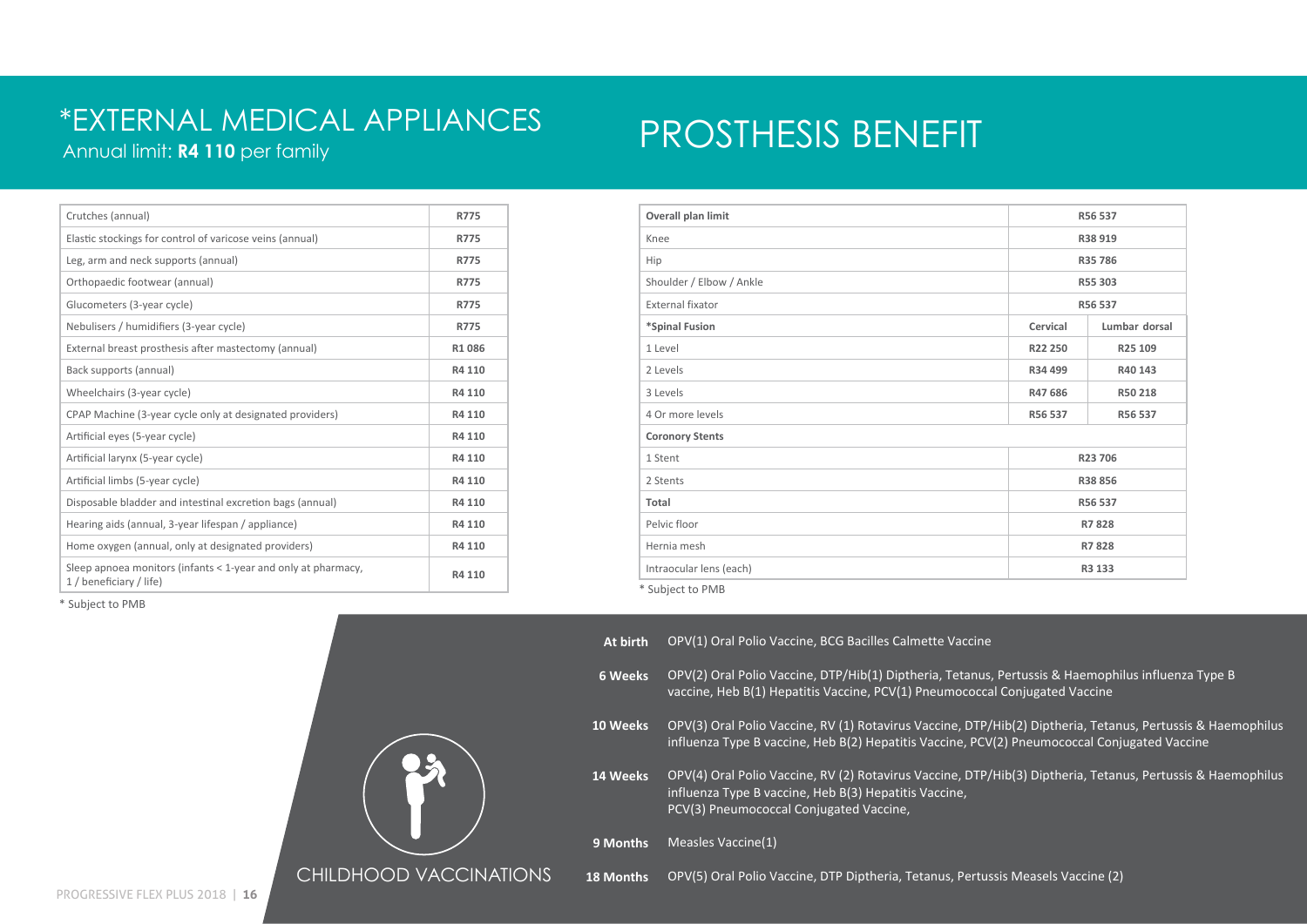#### Annual limit: **R4 110** per family \*EXTERNAL MEDICAL APPLIANCES

## PROSTHESIS BENEFIT

| Crutches (annual)                                                                        | <b>R775</b> |
|------------------------------------------------------------------------------------------|-------------|
| Elastic stockings for control of varicose veins (annual)                                 | R775        |
| Leg, arm and neck supports (annual)                                                      | <b>R775</b> |
| Orthopaedic footwear (annual)                                                            | R775        |
| Glucometers (3-year cycle)                                                               | R775        |
| Nebulisers / humidifiers (3-year cycle)                                                  | R775        |
| External breast prosthesis after mastectomy (annual)                                     | R1086       |
| Back supports (annual)                                                                   | R4 110      |
| Wheelchairs (3-year cycle)                                                               | R4 110      |
| CPAP Machine (3-year cycle only at designated providers)                                 | R4 110      |
| Artificial eyes (5-year cycle)                                                           | R4 110      |
| Artificial larynx (5-year cycle)                                                         | R4 110      |
| Artificial limbs (5-year cycle)                                                          | R4 110      |
| Disposable bladder and intestinal excretion bags (annual)                                | R4 110      |
| Hearing aids (annual, 3-year lifespan / appliance)                                       | R4 110      |
| Home oxygen (annual, only at designated providers)                                       | R4 110      |
| Sleep apnoea monitors (infants < 1-year and only at pharmacy,<br>1 / beneficiary / life) | R4 110      |

| Overall plan limit          |          | R56 537       |  |
|-----------------------------|----------|---------------|--|
| Knee                        |          | R38 919       |  |
| Hip                         |          | R35 786       |  |
| Shoulder / Elbow / Ankle    |          | R55 303       |  |
| External fixator            |          | R56 537       |  |
| *Spinal Fusion              | Cervical | Lumbar dorsal |  |
| 1 Level                     | R22 250  | R25 109       |  |
| 2 Levels                    | R34 499  | R40 143       |  |
| 3 Levels                    | R47 686  | R50 218       |  |
| 4 Or more levels            | R56 537  | R56 537       |  |
| <b>Coronory Stents</b>      |          |               |  |
| 1 Stent                     |          | R23 706       |  |
| 2 Stents                    |          | R38 856       |  |
| Total                       |          | R56 537       |  |
| Pelvic floor                |          | R7828         |  |
| Hernia mesh                 |          | R7828         |  |
| Intraocular lens (each)     |          | R3 133        |  |
| <sup>*</sup> Subiect to PMB |          |               |  |

\* Subject to PMB



**At birth 6 Weeks** OPV(2) Oral Polio Vaccine, DTP/Hib(1) Diptheria, Tetanus, Pertussis & Haemophilus influenza Type B **10 Weeks** OPV(3) Oral Polio Vaccine, RV (1) Rotavirus Vaccine, DTP/Hib(2) Diptheria, Tetanus, Pertussis & Haemophilus **14 Weeks** OPV(4) Oral Polio Vaccine, RV (2) Rotavirus Vaccine, DTP/Hib(3) Diptheria, Tetanus, Pertussis & Haemophilus **9 Months** Measles Vaccine(1) **18 Months** OPV(5) Oral Polio Vaccine, DTP Diptheria, Tetanus, Pertussis Measels Vaccine (2) OPV(1) Oral Polio Vaccine, BCG Bacilles Calmette Vaccine vaccine, Heb B(1) Hepatitis Vaccine, PCV(1) Pneumococcal Conjugated Vaccine influenza Type B vaccine, Heb B(2) Hepatitis Vaccine, PCV(2) Pneumococcal Conjugated Vaccine influenza Type B vaccine, Heb B(3) Hepatitis Vaccine, PCV(3) Pneumococcal Conjugated Vaccine,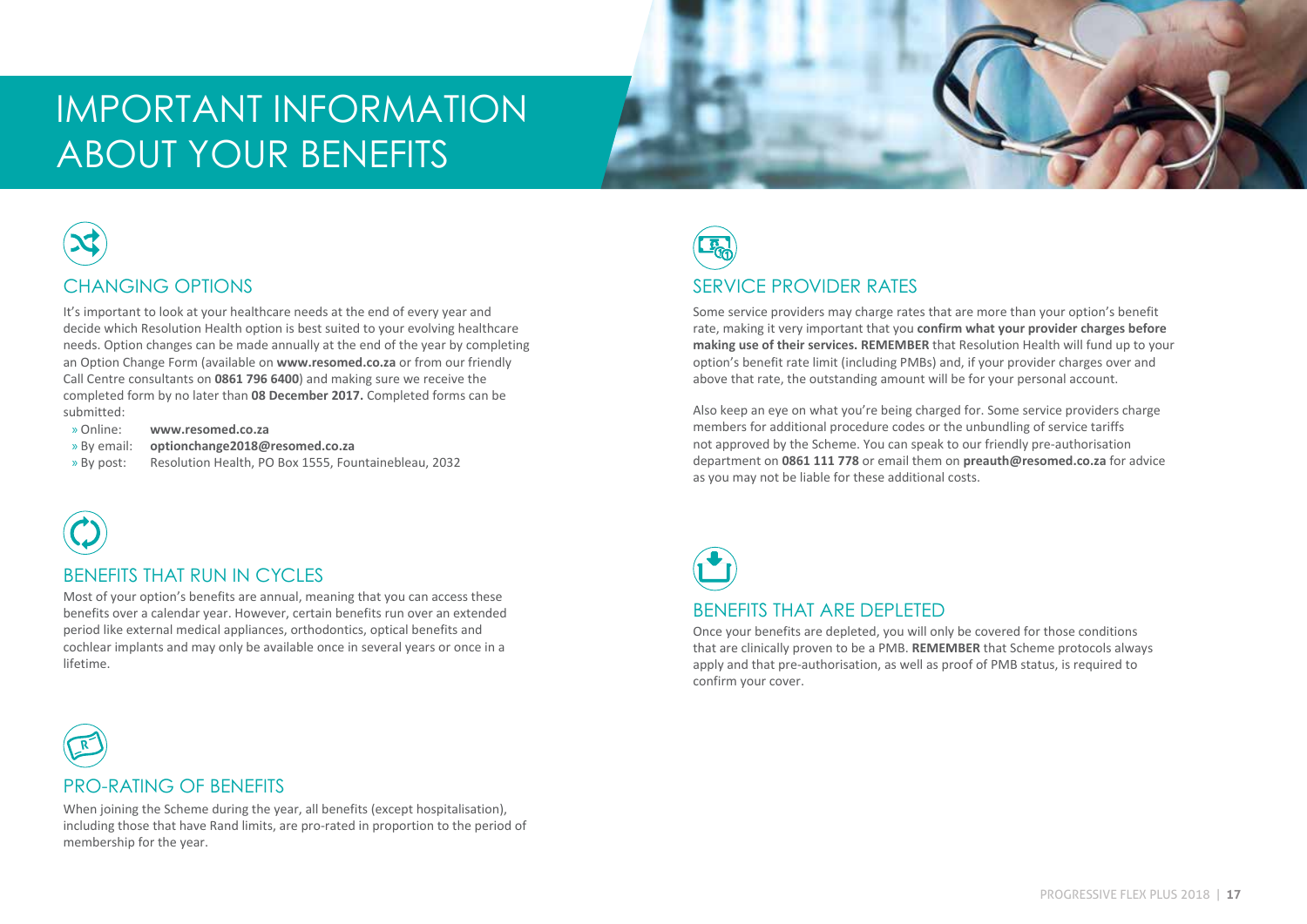## IMPORTANT INFORMATION ABOUT YOUR BENEFITS



#### CHANGING OPTIONS

It's important to look at your healthcare needs at the end of every year and decide which Resolution Health option is best suited to your evolving healthcare needs. Option changes can be made annually at the end of the year by completing an Option Change Form (available on **www.resomed.co.za** or from our friendly Call Centre consultants on **0861 796 6400**) and making sure we receive the completed form by no later than **08 December 2017.** Completed forms can be submitted:

- » Online: **www.resomed.co.za**
- » By email: **optionchange2018@resomed.co.za**
- » By post: Resolution Health, PO Box 1555, Fountainebleau, 2032



**R**

#### BENEFITS THAT RUN IN CYCLES

Most of your option's benefits are annual, meaning that you can access these benefits over a calendar year. However, certain benefits run over an extended period like external medical appliances, orthodontics, optical benefits and cochlear implants and may only be available once in several years or once in a lifetime.



#### SERVICE PROVIDER RATES

Some service providers may charge rates that are more than your option's benefit rate, making it very important that you **confirm what your provider charges before making use of their services. REMEMBER** that Resolution Health will fund up to your option's benefit rate limit (including PMBs) and, if your provider charges over and above that rate, the outstanding amount will be for your personal account.

Also keep an eye on what you're being charged for. Some service providers charge members for additional procedure codes or the unbundling of service tariffs not approved by the Scheme. You can speak to our friendly pre-authorisation department on **0861 111 778** or email them on **preauth@resomed.co.za** for advice as you may not be liable for these additional costs.



Once your benefits are depleted, you will only be covered for those conditions that are clinically proven to be a PMB. **REMEMBER** that Scheme protocols always apply and that pre-authorisation, as well as proof of PMB status, is required to confirm your cover.

## PRO-RATING OF BENEFITS

including those that have Rand limits, are pro-rated in proportion to the period of membership for the vear When joining the Scheme during the year, all benefits (except hospitalisation). membership for the year.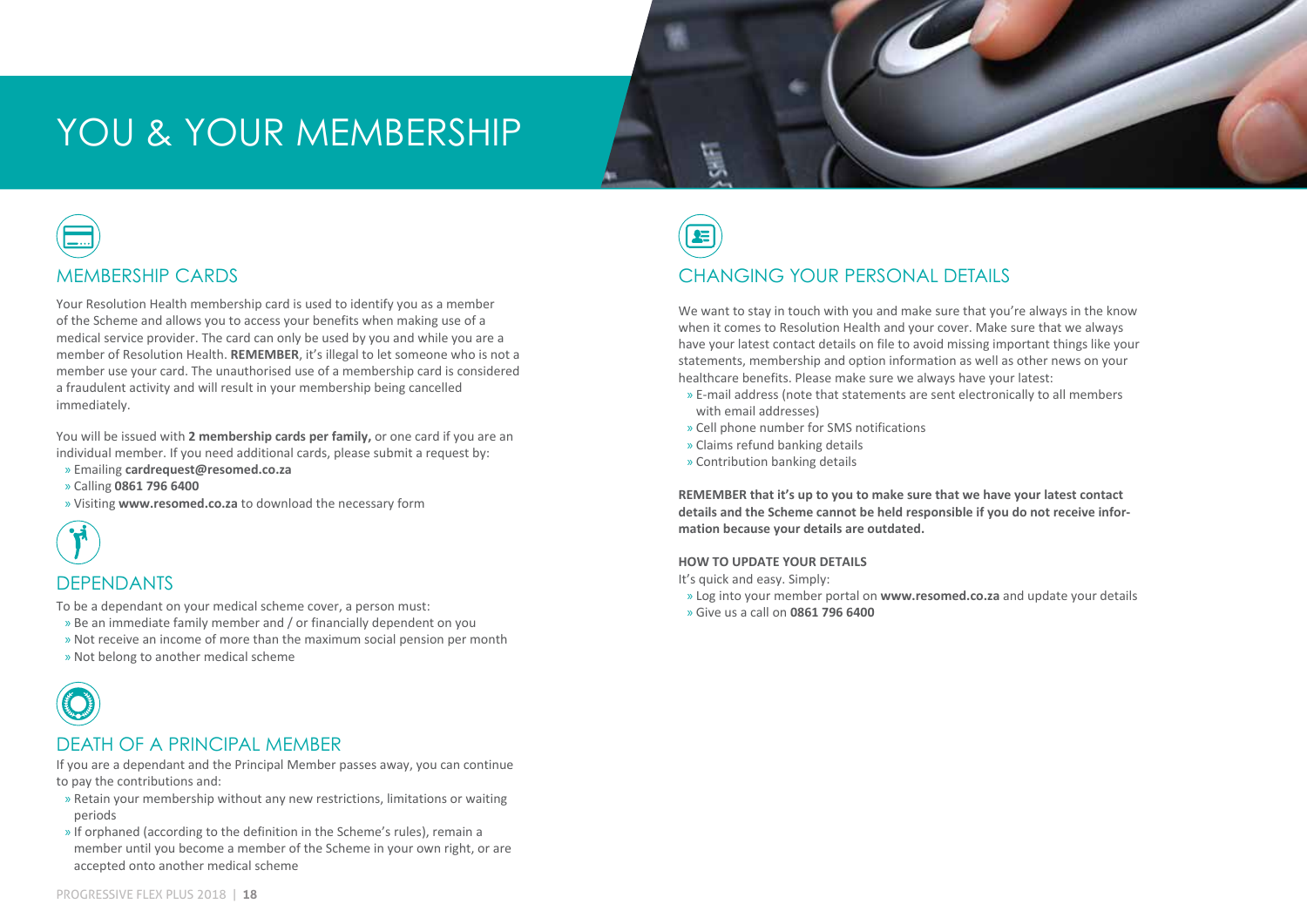## YOU & YOUR MEMBERSHIP



#### MEMBERSHIP CARDS

Your Resolution Health membership card is used to identify you as a member of the Scheme and allows you to access your benefits when making use of a medical service provider. The card can only be used by you and while you are a member of Resolution Health. **REMEMBER**, it's illegal to let someone who is not a member use your card. The unauthorised use of a membership card is considered a fraudulent activity and will result in your membership being cancelled immediately.

You will be issued with **2 membership cards per family,** or one card if you are an individual member. If you need additional cards, please submit a request by:

- » Emailing **cardrequest@resomed.co.za**
- » Calling **0861 796 6400**
- » Visiting **www.resomed.co.za** to download the necessary form



#### **DEPENDANTS**

To be a dependant on your medical scheme cover, a person must:

- » Be an immediate family member and / or financially dependent on you
- » Not receive an income of more than the maximum social pension per month
- » Not belong to another medical scheme



#### DEATH OF A PRINCIPAL MEMBER

If you are a dependant and the Principal Member passes away, you can continue to pay the contributions and:

- » Retain your membership without any new restrictions, limitations or waiting periods
- » If orphaned (according to the definition in the Scheme's rules), remain a member until you become a member of the Scheme in your own right, or are accepted onto another medical scheme

**IN HOSPITAL PROVIDER'S FEES**

#### CHANGING YOUR PERSONAL DETAILS

We want to stay in touch with you and make sure that you're always in the know when it comes to Resolution Health and your cover. Make sure that we always have your latest contact details on file to avoid missing important things like your statements, membership and option information as well as other news on your healthcare benefits. Please make sure we always have your latest:

- » E-mail address (note that statements are sent electronically to all members with email addresses)
- » Cell phone number for SMS notifications
- » Claims refund banking details
- » Contribution banking details

**REMEMBER that it's up to you to make sure that we have your latest contact details and the Scheme cannot be held responsible if you do not receive information because your details are outdated.** 

#### **HOW TO UPDATE YOUR DETAILS**

It's quick and easy. Simply:

- » Log into your member portal on **www.resomed.co.za** and update your details
- » Give us a call on **0861 796 6400**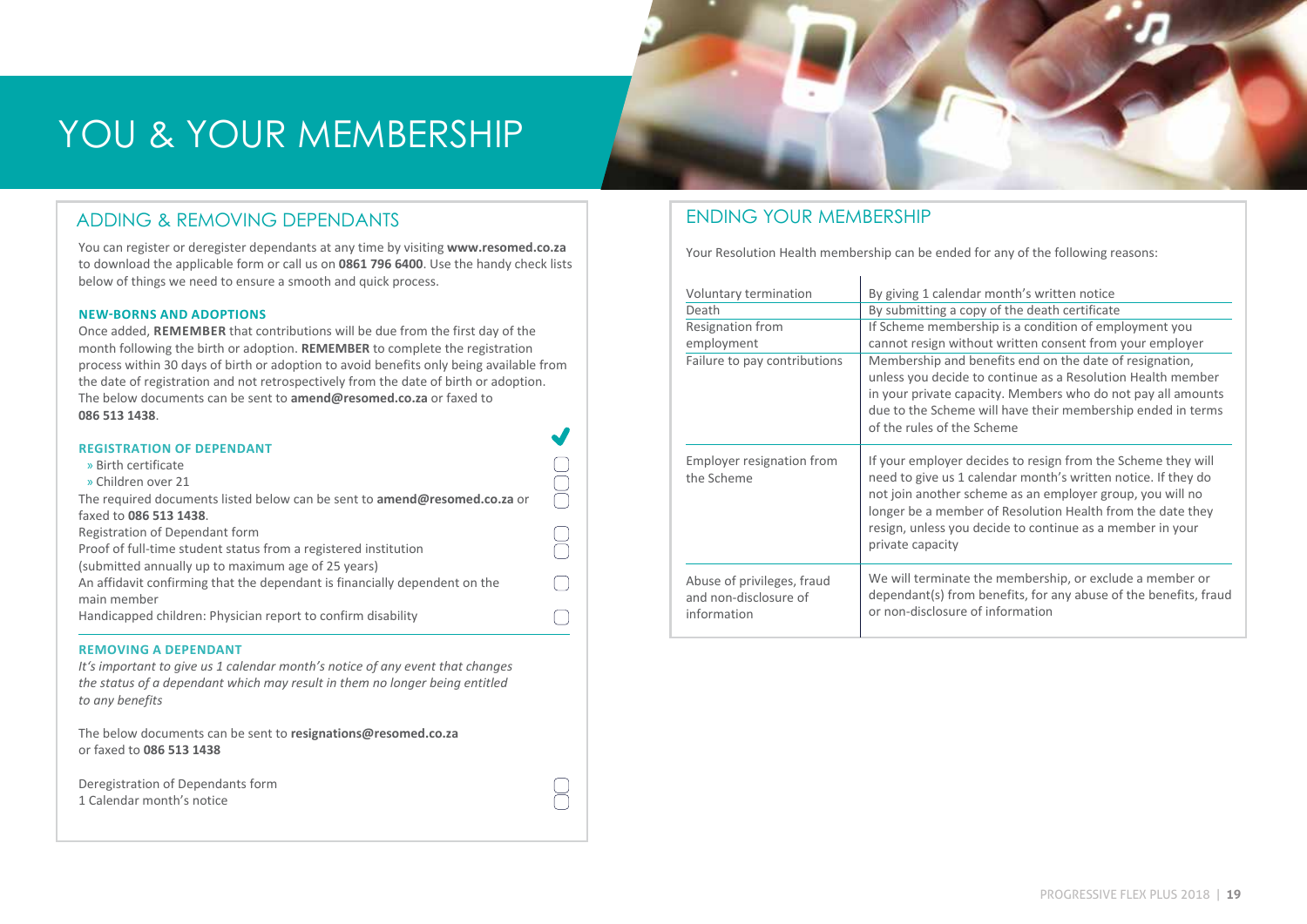## YOU & YOUR MEMBERSHIP

#### ADDING & REMOVING DEPENDANTS

You can register or deregister dependants at any time by visiting **www.resomed.co.za** to download the applicable form or call us on **0861 796 6400**. Use the handy check lists below of things we need to ensure a smooth and quick process.

#### **NEW-BORNS AND ADOPTIONS**

Once added, **REMEMBER** that contributions will be due from the first day of the month following the birth or adoption. **REMEMBER** to complete the registration process within 30 days of birth or adoption to avoid benefits only being available from the date of registration and not retrospectively from the date of birth or adoption. The below documents can be sent to **amend@resomed.co.za** or faxed to **086 513 1438**.

| <b>REGISTRATION OF DEPENDANT</b>                                                 |  |
|----------------------------------------------------------------------------------|--|
| » Birth certificate                                                              |  |
| » Children over 21                                                               |  |
| The required documents listed below can be sent to <b>amend@resomed.co.za</b> or |  |
| faxed to 086 513 1438.                                                           |  |
| Registration of Dependant form                                                   |  |
| Proof of full-time student status from a registered institution                  |  |
| (submitted annually up to maximum age of 25 years)                               |  |
| An affidavit confirming that the dependant is financially dependent on the       |  |
| main member                                                                      |  |
| Handicapped children: Physician report to confirm disability                     |  |
|                                                                                  |  |

#### **REMOVING A DEPENDANT**

*It's important to give us 1 calendar month's notice of any event that changes the status of a dependant which may result in them no longer being entitled to any benefits* 

 $\Box$ 

The below documents can be sent to **resignations@resomed.co.za** or faxed to **086 513 1438** 

| Deregistration of Dependants form |
|-----------------------------------|
| 1 Calendar month's notice         |

#### ENDING YOUR MEMBERSHIP

Your Resolution Health membership can be ended for any of the following reasons:

| Voluntary termination<br>Death<br>Resignation from<br>employment<br>Failure to pay contributions | By giving 1 calendar month's written notice<br>By submitting a copy of the death certificate<br>If Scheme membership is a condition of employment you<br>cannot resign without written consent from your employer<br>Membership and benefits end on the date of resignation,<br>unless you decide to continue as a Resolution Health member<br>in your private capacity. Members who do not pay all amounts<br>due to the Scheme will have their membership ended in terms<br>of the rules of the Scheme |
|--------------------------------------------------------------------------------------------------|----------------------------------------------------------------------------------------------------------------------------------------------------------------------------------------------------------------------------------------------------------------------------------------------------------------------------------------------------------------------------------------------------------------------------------------------------------------------------------------------------------|
| Employer resignation from<br>the Scheme                                                          | If your employer decides to resign from the Scheme they will<br>need to give us 1 calendar month's written notice. If they do<br>not join another scheme as an employer group, you will no<br>longer be a member of Resolution Health from the date they<br>resign, unless you decide to continue as a member in your<br>private capacity                                                                                                                                                                |
| Abuse of privileges, fraud<br>and non-disclosure of<br>information                               | We will terminate the membership, or exclude a member or<br>dependant(s) from benefits, for any abuse of the benefits, fraud<br>or non-disclosure of information                                                                                                                                                                                                                                                                                                                                         |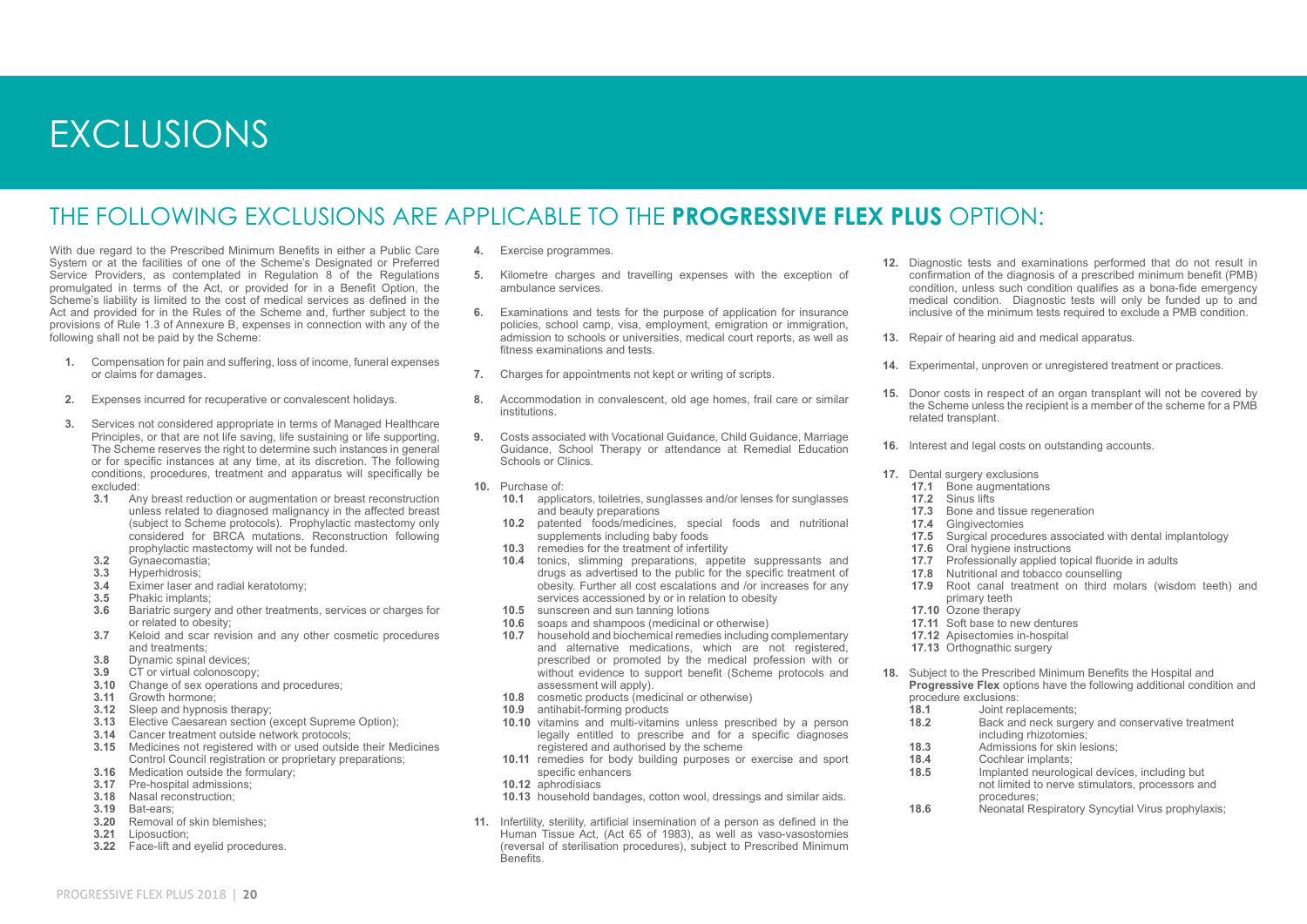## EXCLUSIONS

#### THE FOLLOWING EXCLUSIONS ARE APPLICABLE TO THE **PROGRESSIVE FLEX PLUS** OPTION:

With due regard to the Prescribed Minimum Benefits in either a Public Care System or at the facilities of one of the Scheme's Designated or Preferred Service Providers, as contemplated in Regulation 8 of the Regulations promulgated in terms of the Act, or provided for in a Benefit Option, the Scheme's liability is limited to the cost of medical services as defined in the Act and provided for in the Rules of the Scheme and, further subject to the provisions of Rule 1.3 of Annexure B, expenses in connection with any of the following shall not be paid by the Scheme:

- **1.** Compensation for pain and suffering, loss of income, funeral expenses or claims for damages.
- **2.** Expenses incurred for recuperative or convalescent holidays.
- **3.** Services not considered appropriate in terms of Managed Healthcare Principles, or that are not life saving, life sustaining or life supporting, The Scheme reserves the right to determine such instances in general or for specific instances at any time, at its discretion. The following conditions, procedures, treatment and apparatus will specifically be excluded:
	- **3.1** Any breast reduction or augmentation or breast reconstruction unless related to diagnosed malignancy in the affected breast (subject to Scheme protocols). Prophylactic mastectomy only considered for BRCA mutations. Reconstruction following prophylactic mastectomy will not be funded.
	- **3.2** Gynaecomastia;<br>3.3 Hyperbidrosis;
	- **3.3** Hyperhidrosis;<br>**3.4** Eximer laser at
	- **3.4** Eximer laser and radial keratotomy;<br>**3.5** Phakic implants:
	- **3.5** Phakic implants;<br>**3.6** Bariatric surgery
	- **3.6** Bariatric surgery and other treatments, services or charges for or related to obesity;
	- **3.7** Keloid and scar revision and any other cosmetic procedures and treatments;
	- **3.8** Dynamic spinal devices;<br>**3.9** CT or virtual colonoscopy
	- CT or virtual colonoscopy;
	- **3.10** Change of sex operations and procedures;
	- **3.11** Growth hormone;
	- **3.12** Sleep and hypnosis therapy;
	- **3.13** Elective Caesarean section (except Supreme Option);
	- **3.14** Cancer treatment outside network protocols;
	- **3.15** Medicines not registered with or used outside their Medicines Control Council registration or proprietary preparations:
	- **3.16** Medication outside the formulary;
	- **3.17** Pre-hospital admissions;
	- **3.18** Nasal reconstruction;
	- **3.19** Bat-ears;
	- **3.20** Removal of skin blemishes;
	- **3.21** Liposuction;
	- **3.22** Face-lift and eyelid procedures.
- **4.** Exercise programmes.
- **5.** Kilometre charges and travelling expenses with the exception of ambulance services.
- **6.** Examinations and tests for the purpose of application for insurance policies, school camp, visa, employment, emigration or immigration, admission to schools or universities, medical court reports, as well as fitness examinations and tests.
- **7.** Charges for appointments not kept or writing of scripts.
- **8.** Accommodation in convalescent, old age homes, frail care or similar institutions.
- **9.** Costs associated with Vocational Guidance, Child Guidance, Marriage Guidance, School Therapy or attendance at Remedial Education Schools or Clinics.
- **10.** Purchase of:
	- **10.1** applicators, toiletries, sunglasses and/or lenses for sunglasses and beauty preparations
	- **10.2** patented foods/medicines, special foods and nutritional supplements including baby foods
	- **10.3** remedies for the treatment of infertility
	- **10.4** tonics, slimming preparations, appetite suppressants and drugs as advertised to the public for the specific treatment of obesity. Further all cost escalations and /or increases for any services accessioned by or in relation to obesity
	- **10.5** sunscreen and sun tanning lotions
	- **10.6** soaps and shampoos (medicinal or otherwise)
	- **10.7** household and biochemical remedies including complementary and alternative medications, which are not registered, prescribed or promoted by the medical profession with or without evidence to support benefit (Scheme protocols and assessment will apply).
	- **10.8** cosmetic products (medicinal or otherwise)
	- **10.9** antihabit-forming products
	- **10.10** vitamins and multi-vitamins unless prescribed by a person legally entitled to prescribe and for a specific diagnoses registered and authorised by the scheme
	- **10.11** remedies for body building purposes or exercise and sport specific enhancers
	- **10.12** aphrodisiacs
	- **10.13** household bandages, cotton wool, dressings and similar aids.
- **11.** Infertility, sterility, artificial insemination of a person as defined in the Human Tissue Act, (Act 65 of 1983), as well as vaso-vasostomies (reversal of sterilisation procedures), subject to Prescribed Minimum **Benefits**
- **12.** Diagnostic tests and examinations performed that do not result in confirmation of the diagnosis of a prescribed minimum benefit (PMB) condition, unless such condition qualifies as a bona-fide emergency medical condition. Diagnostic tests will only be funded up to and inclusive of the minimum tests required to exclude a PMB condition.
- **13.** Repair of hearing aid and medical apparatus.
- **14.** Experimental, unproven or unregistered treatment or practices.
- **15.** Donor costs in respect of an organ transplant will not be covered by the Scheme unless the recipient is a member of the scheme for a PMB related transplant.
- **16.** Interest and legal costs on outstanding accounts.
- **17.** Dental surgery exclusions
	- **17.1** Bone augmentations
	- **17.2** Sinus lifts
	- **17.3** Bone and tissue regeneration<br>**17.4** Gingivectomies
	- **17.4** Gingivectomies
	- **17.5** Surgical procedures associated with dental implantology
	- **17.6** Oral hygiene instructions<br>**17.7** Professionally applied tor
	- **17.7** Professionally applied topical fluoride in adults **17.8** Nutritional and tobacco counselling
	- **17.8** Nutritional and tobacco counselling
	- **17.9** Root canal treatment on third molars (wisdom teeth) and primary teeth
	- **17.10** Ozone therapy
	- **17.11** Soft base to new dentures
	- **17.12** Apisectomies in-hospital
	- **17.13** Orthognathic surgery
- **18.** Subject to the Prescribed Minimum Benefits the Hospital and **Progressive Flex** options have the following additional condition and procedure exclusions:<br>18.1 Joint rer
	-
	- **18.1** Joint replacements;<br>**18.2** Back and neck surgi **18.2** Back and neck surgery and conservative treatment including rhizotomies;
	- **18.3** Admissions for skin lesions;<br>**18.4** Cochlear implants:
	- 18.4 Cochlear implants;<br>18.5 Implanted neurology
	- **18.5** Implanted neurological devices, including but not limited to nerve stimulators, processors and procedures;
	- **18.6** Neonatal Respiratory Syncytial Virus prophylaxis;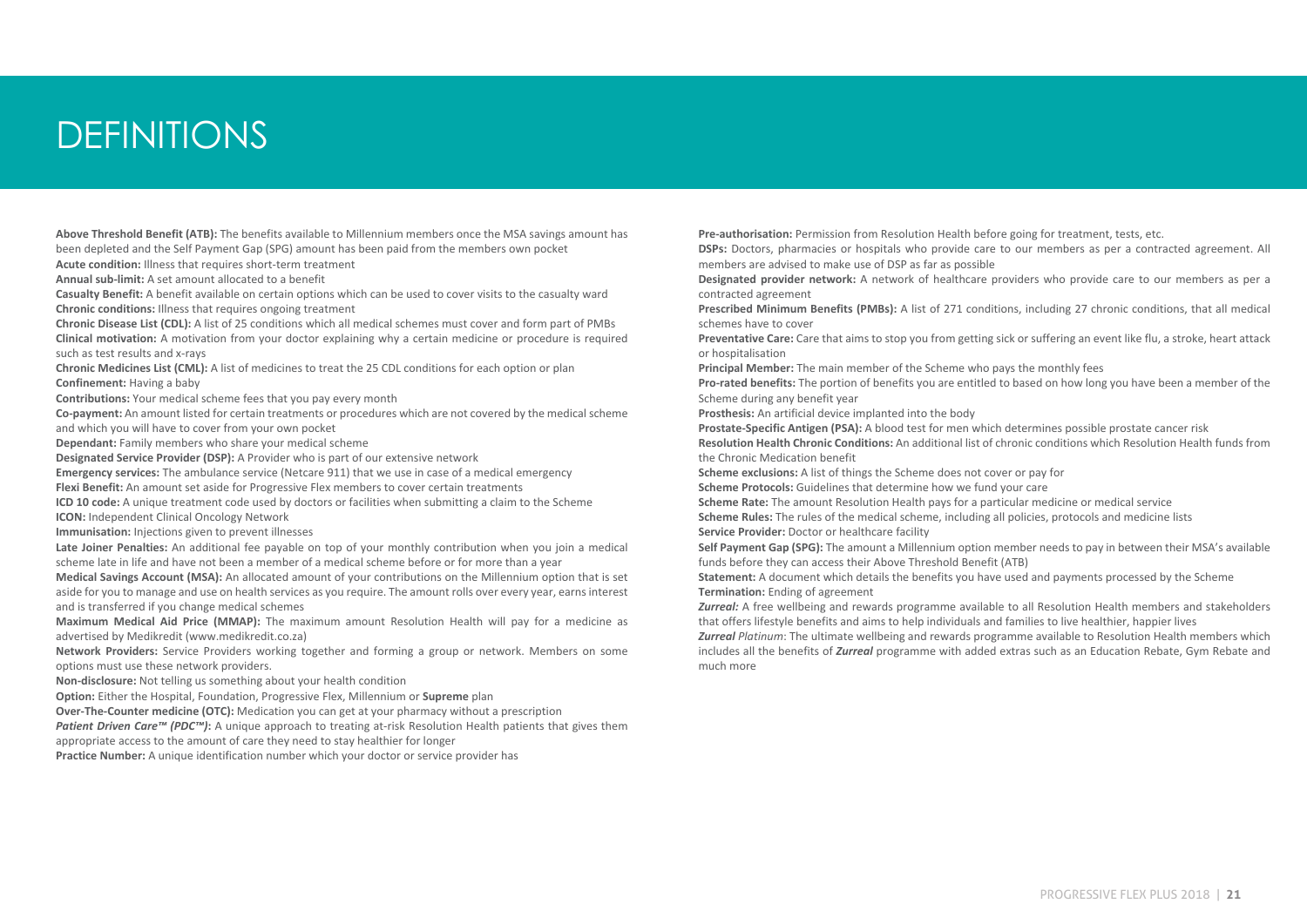## DEFINITIONS

**Above Threshold Benefit (ATB):** The benefits available to Millennium members once the MSA savings amount has been depleted and the Self Payment Gap (SPG) amount has been paid from the members own pocket

**Acute condition:** Illness that requires short-term treatment

**Annual sub-limit:** A set amount allocated to a benefit

**Casualty Benefit:** A benefit available on certain options which can be used to cover visits to the casualty ward **Chronic conditions:** Illness that requires ongoing treatment

**Chronic Disease List (CDL):** A list of 25 conditions which all medical schemes must cover and form part of PMBs **Clinical motivation:** A motivation from your doctor explaining why a certain medicine or procedure is required such as test results and x-rays

**Chronic Medicines List (CML):** A list of medicines to treat the 25 CDL conditions for each option or plan **Confinement:** Having a baby

**Contributions:** Your medical scheme fees that you pay every month

**Co-payment:** An amount listed for certain treatments or procedures which are not covered by the medical scheme and which you will have to cover from your own pocket

**Dependant:** Family members who share your medical scheme

**Designated Service Provider (DSP):** A Provider who is part of our extensive network

**Emergency services:** The ambulance service (Netcare 911) that we use in case of a medical emergency **Flexi Benefit:** An amount set aside for Progressive Flex members to cover certain treatments

**ICD 10 code:** A unique treatment code used by doctors or facilities when submitting a claim to the Scheme **ICON:** Independent Clinical Oncology Network

**Immunisation:** Injections given to prevent illnesses

**Late Joiner Penalties:** An additional fee payable on top of your monthly contribution when you join a medical scheme late in life and have not been a member of a medical scheme before or for more than a year

**Medical Savings Account (MSA):** An allocated amount of your contributions on the Millennium option that is set aside for you to manage and use on health services as you require. The amount rolls over every year, earns interest and is transferred if you change medical schemes

**Maximum Medical Aid Price (MMAP):** The maximum amount Resolution Health will pay for a medicine as advertised by Medikredit (www.medikredit.co.za)

**Network Providers:** Service Providers working together and forming a group or network. Members on some options must use these network providers.

**Non-disclosure:** Not telling us something about your health condition

**Option:** Either the Hospital, Foundation, Progressive Flex, Millennium or **Supreme** plan

**Over-The-Counter medicine (OTC):** Medication you can get at your pharmacy without a prescription

*Patient Driven Care™ (PDC™)*: A unique approach to treating at-risk Resolution Health patients that gives them appropriate access to the amount of care they need to stay healthier for longer

**Practice Number:** A unique identification number which your doctor or service provider has

**Pre-authorisation:** Permission from Resolution Health before going for treatment, tests, etc.

**DSPs:** Doctors, pharmacies or hospitals who provide care to our members as per a contracted agreement. All members are advised to make use of DSP as far as possible

**Designated provider network:** A network of healthcare providers who provide care to our members as per a contracted agreement

**Prescribed Minimum Benefits (PMBs):** A list of 271 conditions, including 27 chronic conditions, that all medical schemes have to cover

**Preventative Care:** Care that aims to stop you from getting sick or suffering an event like flu, a stroke, heart attack or hospitalisation

**Principal Member:** The main member of the Scheme who pays the monthly fees

**Pro-rated benefits:** The portion of benefits you are entitled to based on how long you have been a member of the Scheme during any benefit year

**Prosthesis:** An artificial device implanted into the body

**Prostate-Specific Antigen (PSA):** A blood test for men which determines possible prostate cancer risk **Resolution Health Chronic Conditions:** An additional list of chronic conditions which Resolution Health funds from

the Chronic Medication benefit

**Scheme exclusions:** A list of things the Scheme does not cover or pay for

**Scheme Protocols:** Guidelines that determine how we fund your care

**Scheme Rate:** The amount Resolution Health pays for a particular medicine or medical service **Scheme Rules:** The rules of the medical scheme, including all policies, protocols and medicine lists **Service Provider:** Doctor or healthcare facility

**Self Payment Gap (SPG):** The amount a Millennium option member needs to pay in between their MSA's available funds before they can access their Above Threshold Benefit (ATB)

**Statement:** A document which details the benefits you have used and payments processed by the Scheme **Termination:** Ending of agreement

*Zurreal:* A free wellbeing and rewards programme available to all Resolution Health members and stakeholders that offers lifestyle benefits and aims to help individuals and families to live healthier, happier lives

*Zurreal Platinum*: The ultimate wellbeing and rewards programme available to Resolution Health members which includes all the benefits of *Zurreal* programme with added extras such as an Education Rebate, Gym Rebate and much more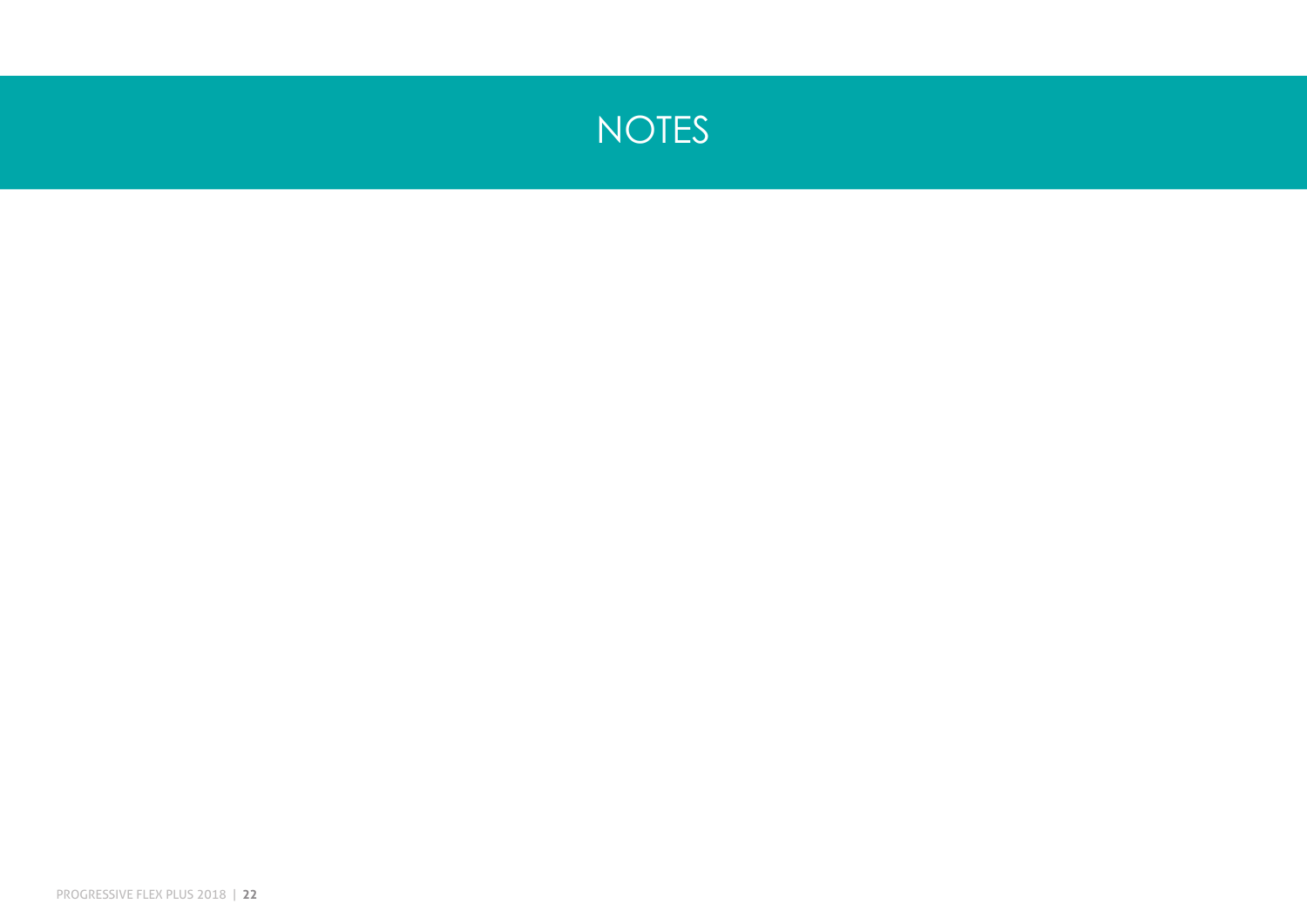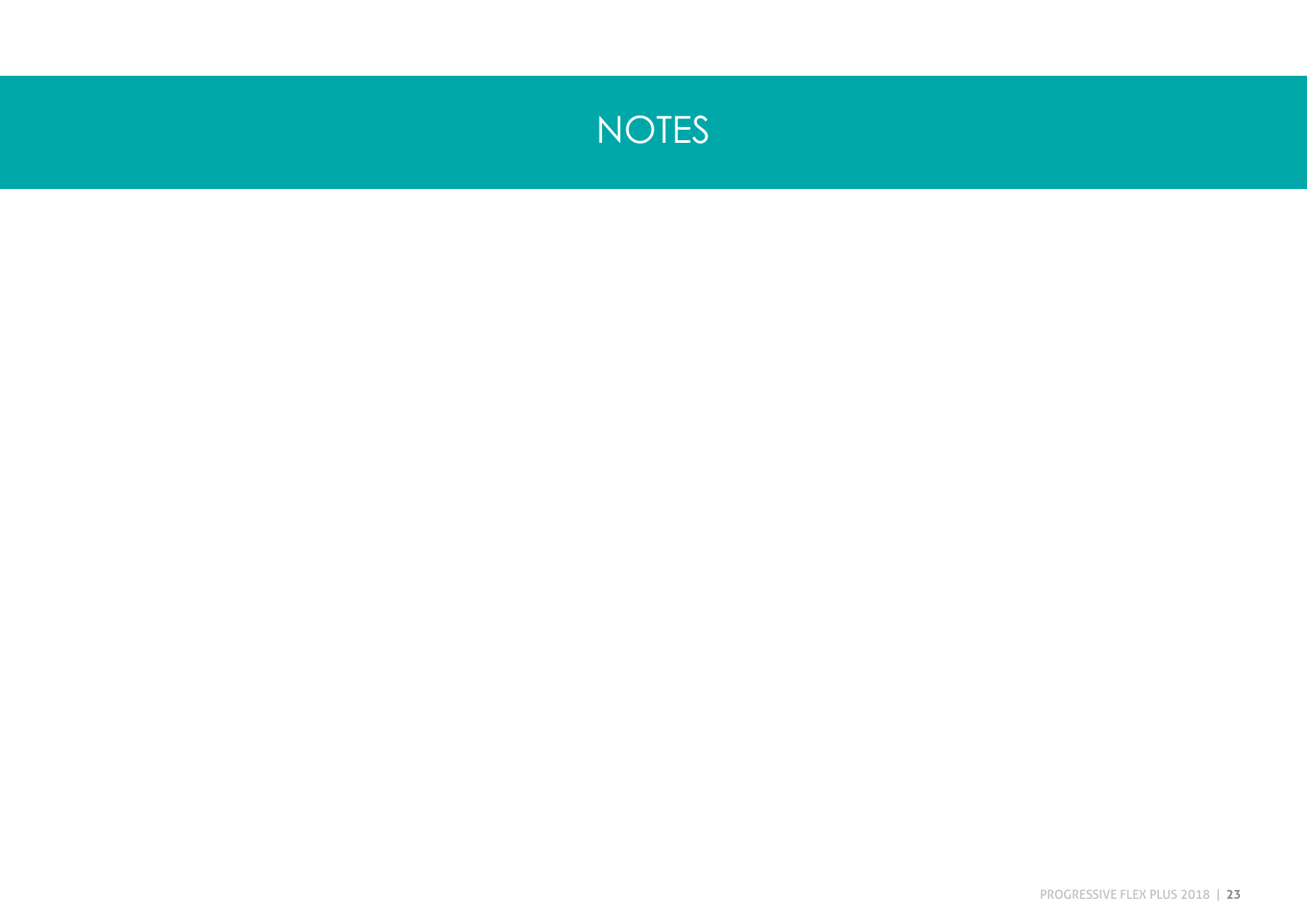